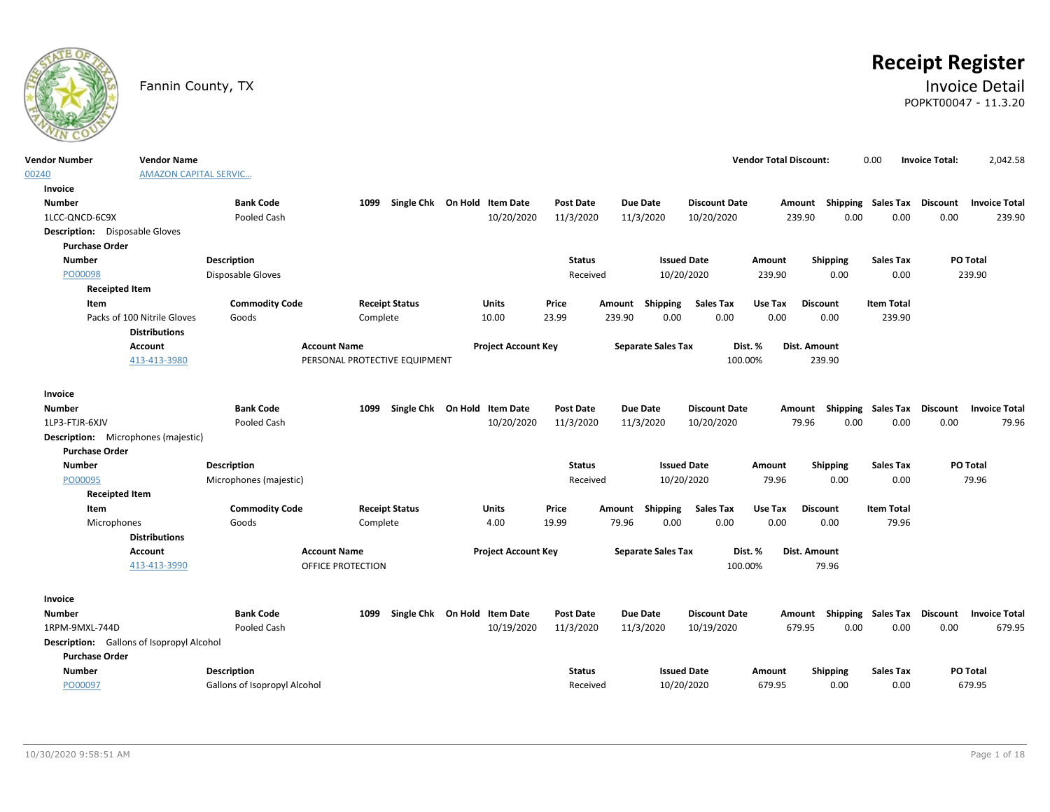

# **Receipt Register**

### Fannin County, TX **Invoice Detail** POPKT00047 - 11.3.20

| <b>Vendor Number</b>                       | <b>Vendor Name</b>             |                                |                                   |                              |                  |                                     |                                  | <b>Vendor Total Discount:</b>      | 0.00                      | <b>Invoice Total:</b> | 2,042.58                                         |
|--------------------------------------------|--------------------------------|--------------------------------|-----------------------------------|------------------------------|------------------|-------------------------------------|----------------------------------|------------------------------------|---------------------------|-----------------------|--------------------------------------------------|
| 00240                                      | <b>AMAZON CAPITAL SERVIC</b>   |                                |                                   |                              |                  |                                     |                                  |                                    |                           |                       |                                                  |
| <b>Invoice</b>                             |                                |                                |                                   |                              |                  |                                     |                                  |                                    |                           |                       |                                                  |
| <b>Number</b>                              |                                | <b>Bank Code</b>               | 1099                              | Single Chk On Hold Item Date | <b>Post Date</b> | Due Date                            | <b>Discount Date</b>             |                                    |                           |                       | Amount Shipping Sales Tax Discount Invoice Total |
| 1LCC-ONCD-6C9X                             |                                | Pooled Cash                    |                                   | 10/20/2020                   | 11/3/2020        | 11/3/2020                           | 10/20/2020                       | 239.90                             | 0.00                      | 0.00                  | 0.00<br>239.90                                   |
| <b>Description:</b> Disposable Gloves      |                                |                                |                                   |                              |                  |                                     |                                  |                                    |                           |                       |                                                  |
| <b>Purchase Order</b>                      |                                |                                |                                   |                              |                  |                                     |                                  |                                    |                           |                       |                                                  |
| <b>Number</b>                              |                                | <b>Description</b>             |                                   |                              | <b>Status</b>    |                                     | <b>Issued Date</b>               | Amount                             | <b>Shipping</b>           | <b>Sales Tax</b>      | PO Total                                         |
| PO00098                                    |                                | Disposable Gloves              |                                   |                              | Received         |                                     | 10/20/2020                       | 239.90                             | 0.00                      | 0.00                  | 239.90                                           |
| <b>Receipted Item</b>                      |                                |                                |                                   |                              |                  |                                     |                                  |                                    |                           |                       |                                                  |
| Item                                       |                                | <b>Commodity Code</b>          | <b>Receipt Status</b>             | <b>Units</b>                 | Price            | Amount<br>Shipping                  | <b>Sales Tax</b>                 | <b>Discount</b><br>Use Tax         |                           | <b>Item Total</b>     |                                                  |
|                                            | Packs of 100 Nitrile Gloves    | Goods                          | Complete                          | 10.00                        | 23.99            | 239.90<br>0.00                      | 0.00                             | 0.00                               | 0.00                      | 239.90                |                                                  |
|                                            | <b>Distributions</b>           |                                |                                   |                              |                  |                                     |                                  |                                    |                           |                       |                                                  |
|                                            | <b>Account</b>                 |                                | <b>Account Name</b>               | <b>Project Account Key</b>   |                  | <b>Separate Sales Tax</b>           | Dist. %                          | Dist. Amount                       |                           |                       |                                                  |
|                                            | 413-413-3980                   |                                | PERSONAL PROTECTIVE EQUIPMENT     |                              |                  |                                     | 100.00%                          | 239.90                             |                           |                       |                                                  |
|                                            |                                |                                |                                   |                              |                  |                                     |                                  |                                    |                           |                       |                                                  |
| Invoice                                    |                                |                                |                                   |                              |                  |                                     |                                  |                                    |                           |                       |                                                  |
| <b>Number</b>                              |                                | <b>Bank Code</b>               | 1099                              | Single Chk On Hold Item Date | <b>Post Date</b> | Due Date                            | <b>Discount Date</b>             | Amount                             | Shipping Sales Tax        | Discount              | <b>Invoice Total</b>                             |
| 1LP3-FTJR-6XJV                             |                                | Pooled Cash                    |                                   | 10/20/2020                   | 11/3/2020        | 11/3/2020                           | 10/20/2020                       | 79.96                              | 0.00                      | 0.00                  | 0.00<br>79.96                                    |
| <b>Description:</b> Microphones (majestic) |                                |                                |                                   |                              |                  |                                     |                                  |                                    |                           |                       |                                                  |
| <b>Purchase Order</b>                      |                                |                                |                                   |                              |                  |                                     |                                  |                                    |                           |                       |                                                  |
| <b>Number</b>                              |                                | <b>Description</b>             |                                   |                              | <b>Status</b>    |                                     | <b>Issued Date</b><br>10/20/2020 | Amount<br>79.96                    | <b>Shipping</b><br>0.00   | <b>Sales Tax</b>      | PO Total<br>79.96                                |
| PO00095                                    |                                | Microphones (majestic)         |                                   |                              | Received         |                                     |                                  |                                    |                           | 0.00                  |                                                  |
| <b>Receipted Item</b>                      |                                |                                |                                   |                              |                  |                                     |                                  |                                    |                           |                       |                                                  |
| Item                                       |                                | <b>Commodity Code</b><br>Goods | <b>Receipt Status</b><br>Complete | Units<br>4.00                | Price<br>19.99   | Amount<br>Shipping<br>79.96<br>0.00 | <b>Sales Tax</b><br>0.00         | <b>Discount</b><br>Use Tax<br>0.00 | <b>Item Total</b><br>0.00 | 79.96                 |                                                  |
| Microphones                                | <b>Distributions</b>           |                                |                                   |                              |                  |                                     |                                  |                                    |                           |                       |                                                  |
|                                            |                                |                                | <b>Account Name</b>               |                              |                  |                                     |                                  | Dist. Amount                       |                           |                       |                                                  |
|                                            | <b>Account</b><br>413-413-3990 |                                |                                   | <b>Project Account Key</b>   |                  | <b>Separate Sales Tax</b>           | Dist. %<br>100.00%               |                                    | 79.96                     |                       |                                                  |
|                                            |                                |                                | OFFICE PROTECTION                 |                              |                  |                                     |                                  |                                    |                           |                       |                                                  |
| Invoice                                    |                                |                                |                                   |                              |                  |                                     |                                  |                                    |                           |                       |                                                  |
| Number                                     |                                | <b>Bank Code</b>               | 1099                              | Single Chk On Hold Item Date | Post Date        | Due Date                            | <b>Discount Date</b>             |                                    | Amount Shipping Sales Tax | Discount              | <b>Invoice Total</b>                             |
| 1RPM-9MXL-744D                             |                                | Pooled Cash                    |                                   | 10/19/2020                   | 11/3/2020        | 11/3/2020                           | 10/19/2020                       | 679.95                             | 0.00                      | 0.00                  | 0.00<br>679.95                                   |
| Description: Gallons of Isopropyl Alcohol  |                                |                                |                                   |                              |                  |                                     |                                  |                                    |                           |                       |                                                  |
| <b>Purchase Order</b>                      |                                |                                |                                   |                              |                  |                                     |                                  |                                    |                           |                       |                                                  |
| <b>Number</b>                              |                                | <b>Description</b>             |                                   |                              | <b>Status</b>    |                                     | <b>Issued Date</b>               | Amount                             | <b>Shipping</b>           | <b>Sales Tax</b>      | <b>PO Total</b>                                  |
| PO00097                                    |                                | Gallons of Isopropyl Alcohol   |                                   |                              | Received         |                                     | 10/20/2020                       | 679.95                             | 0.00                      | 0.00                  | 679.95                                           |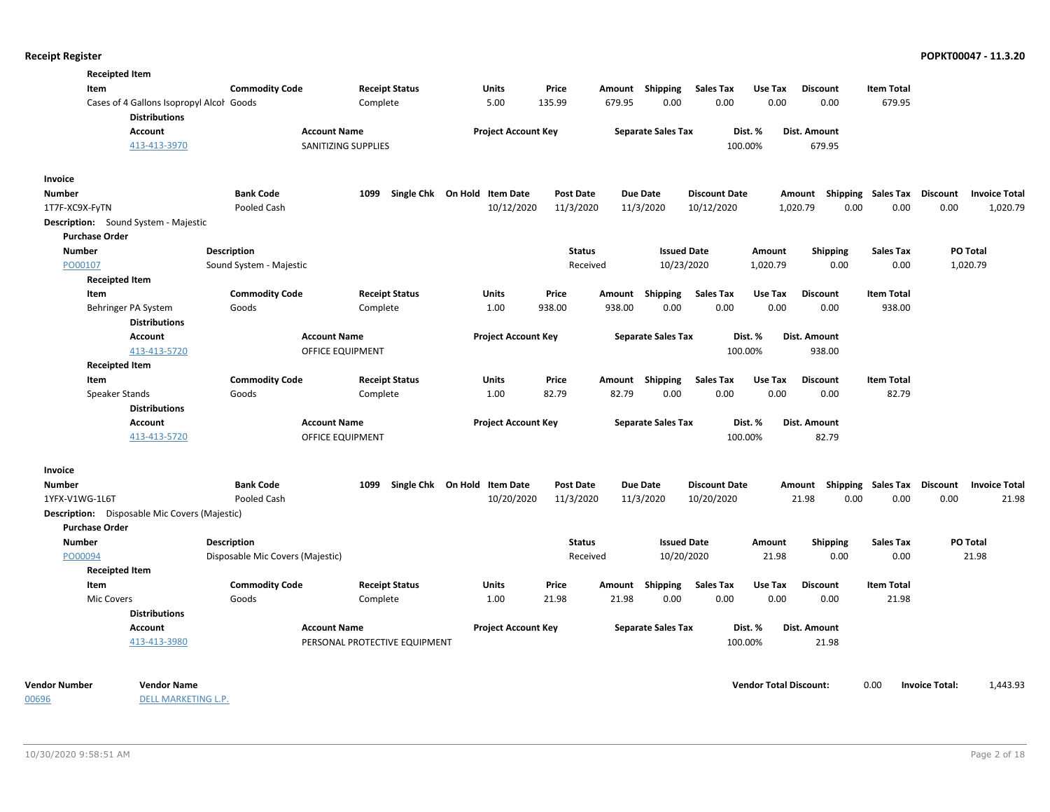| <b>Receipted Item</b>                                            |                                  |                               |                                   |                  |        |                           |                      |          |                                    |                           |      |                      |
|------------------------------------------------------------------|----------------------------------|-------------------------------|-----------------------------------|------------------|--------|---------------------------|----------------------|----------|------------------------------------|---------------------------|------|----------------------|
| Item                                                             | <b>Commodity Code</b>            | <b>Receipt Status</b>         | Units                             | Price            |        | Amount Shipping           | <b>Sales Tax</b>     | Use Tax  | <b>Discount</b>                    | <b>Item Total</b>         |      |                      |
| Cases of 4 Gallons Isopropyl Alcol Goods<br><b>Distributions</b> |                                  | Complete                      | 5.00                              | 135.99           | 679.95 | 0.00                      | 0.00                 | 0.00     | 0.00                               | 679.95                    |      |                      |
| <b>Account</b>                                                   | <b>Account Name</b>              |                               | <b>Project Account Key</b>        |                  |        | <b>Separate Sales Tax</b> |                      | Dist. %  | <b>Dist. Amount</b>                |                           |      |                      |
| 413-413-3970                                                     |                                  | SANITIZING SUPPLIES           |                                   |                  |        |                           |                      | 100.00%  | 679.95                             |                           |      |                      |
| Invoice                                                          |                                  |                               |                                   |                  |        |                           |                      |          |                                    |                           |      |                      |
| <b>Number</b>                                                    | <b>Bank Code</b>                 |                               | 1099 Single Chk On Hold Item Date | <b>Post Date</b> |        | <b>Due Date</b>           | <b>Discount Date</b> |          | Amount Shipping Sales Tax Discount |                           |      | <b>Invoice Total</b> |
| 1T7F-XC9X-FyTN                                                   | Pooled Cash                      |                               | 10/12/2020                        | 11/3/2020        |        | 11/3/2020                 | 10/12/2020           |          | 1,020.79<br>0.00                   | 0.00                      | 0.00 | 1,020.79             |
| <b>Description:</b> Sound System - Majestic                      |                                  |                               |                                   |                  |        |                           |                      |          |                                    |                           |      |                      |
| <b>Purchase Order</b>                                            |                                  |                               |                                   |                  |        |                           |                      |          |                                    |                           |      |                      |
| <b>Number</b>                                                    | <b>Description</b>               |                               |                                   | <b>Status</b>    |        | <b>Issued Date</b>        |                      | Amount   | <b>Shipping</b>                    | <b>Sales Tax</b>          |      | PO Total             |
| PO00107                                                          | Sound System - Majestic          |                               |                                   | Received         |        | 10/23/2020                |                      | 1,020.79 | 0.00                               | 0.00                      |      | 1,020.79             |
| <b>Receipted Item</b>                                            |                                  |                               |                                   |                  |        |                           |                      |          |                                    |                           |      |                      |
| Item                                                             | <b>Commodity Code</b>            | <b>Receipt Status</b>         | Units                             | Price            |        | Amount Shipping           | <b>Sales Tax</b>     | Use Tax  | <b>Discount</b>                    | <b>Item Total</b>         |      |                      |
| Behringer PA System                                              | Goods                            | Complete                      | 1.00                              | 938.00           | 938.00 | 0.00                      | 0.00                 | 0.00     | 0.00                               | 938.00                    |      |                      |
| <b>Distributions</b>                                             |                                  |                               |                                   |                  |        |                           |                      |          |                                    |                           |      |                      |
| <b>Account</b>                                                   | <b>Account Name</b>              |                               | <b>Project Account Key</b>        |                  |        | <b>Separate Sales Tax</b> |                      | Dist. %  | Dist. Amount                       |                           |      |                      |
| 413-413-5720                                                     | OFFICE EQUIPMENT                 |                               |                                   |                  |        |                           |                      | 100.00%  | 938.00                             |                           |      |                      |
| <b>Receipted Item</b><br>Item                                    | <b>Commodity Code</b>            | <b>Receipt Status</b>         | <b>Units</b>                      | Price            |        | Amount Shipping           | <b>Sales Tax</b>     | Use Tax  | <b>Discount</b>                    | <b>Item Total</b>         |      |                      |
| Speaker Stands                                                   | Goods                            | Complete                      | 1.00                              | 82.79            | 82.79  | 0.00                      | 0.00                 | 0.00     | 0.00                               | 82.79                     |      |                      |
| <b>Distributions</b>                                             |                                  |                               |                                   |                  |        |                           |                      |          |                                    |                           |      |                      |
| Account                                                          | <b>Account Name</b>              |                               | <b>Project Account Key</b>        |                  |        | <b>Separate Sales Tax</b> |                      | Dist. %  | Dist. Amount                       |                           |      |                      |
| 413-413-5720                                                     | OFFICE EQUIPMENT                 |                               |                                   |                  |        |                           |                      | 100.00%  | 82.79                              |                           |      |                      |
| Invoice                                                          |                                  |                               |                                   |                  |        |                           |                      |          |                                    |                           |      |                      |
| <b>Number</b>                                                    | <b>Bank Code</b>                 | 1099 Single Chk On Hold       | <b>Item Date</b>                  | <b>Post Date</b> |        | <b>Due Date</b>           | <b>Discount Date</b> |          | Shipping<br>Amount                 | <b>Sales Tax Discount</b> |      | <b>Invoice Total</b> |
| 1YFX-V1WG-1L6T                                                   | Pooled Cash                      |                               | 10/20/2020                        | 11/3/2020        |        | 11/3/2020                 | 10/20/2020           |          | 21.98<br>0.00                      | 0.00                      | 0.00 | 21.98                |
| <b>Description:</b> Disposable Mic Covers (Majestic)             |                                  |                               |                                   |                  |        |                           |                      |          |                                    |                           |      |                      |
| <b>Purchase Order</b>                                            |                                  |                               |                                   |                  |        |                           |                      |          |                                    |                           |      |                      |
| <b>Number</b>                                                    | <b>Description</b>               |                               |                                   | <b>Status</b>    |        | <b>Issued Date</b>        |                      | Amount   | <b>Shipping</b>                    | <b>Sales Tax</b>          |      | PO Total             |
| PO00094                                                          | Disposable Mic Covers (Majestic) |                               |                                   | Received         |        | 10/20/2020                |                      | 21.98    | 0.00                               | 0.00                      |      | 21.98                |
| <b>Receipted Item</b>                                            |                                  |                               |                                   |                  |        |                           |                      |          |                                    |                           |      |                      |
| Item                                                             | <b>Commodity Code</b>            | <b>Receipt Status</b>         | Units                             | Price            | Amount | Shipping                  | <b>Sales Tax</b>     | Use Tax  | <b>Discount</b>                    | <b>Item Total</b>         |      |                      |
| Mic Covers                                                       | Goods                            | Complete                      | 1.00                              | 21.98            | 21.98  | 0.00                      | 0.00                 | 0.00     | 0.00                               | 21.98                     |      |                      |
| <b>Distributions</b>                                             |                                  |                               |                                   |                  |        |                           |                      |          |                                    |                           |      |                      |
| <b>Account</b>                                                   | <b>Account Name</b>              |                               | <b>Project Account Key</b>        |                  |        | <b>Separate Sales Tax</b> |                      | Dist. %  | <b>Dist. Amount</b>                |                           |      |                      |
| 413-413-3980                                                     |                                  | PERSONAL PROTECTIVE EQUIPMENT |                                   |                  |        |                           |                      | 100.00%  | 21.98                              |                           |      |                      |
|                                                                  |                                  |                               |                                   |                  |        |                           |                      |          |                                    |                           |      |                      |

**Vendor Number Vendor Total Discount:** 1,443.93 **Vendor Name** 0.00 **Invoice Total:**

00696

DELL MARKETING L.P.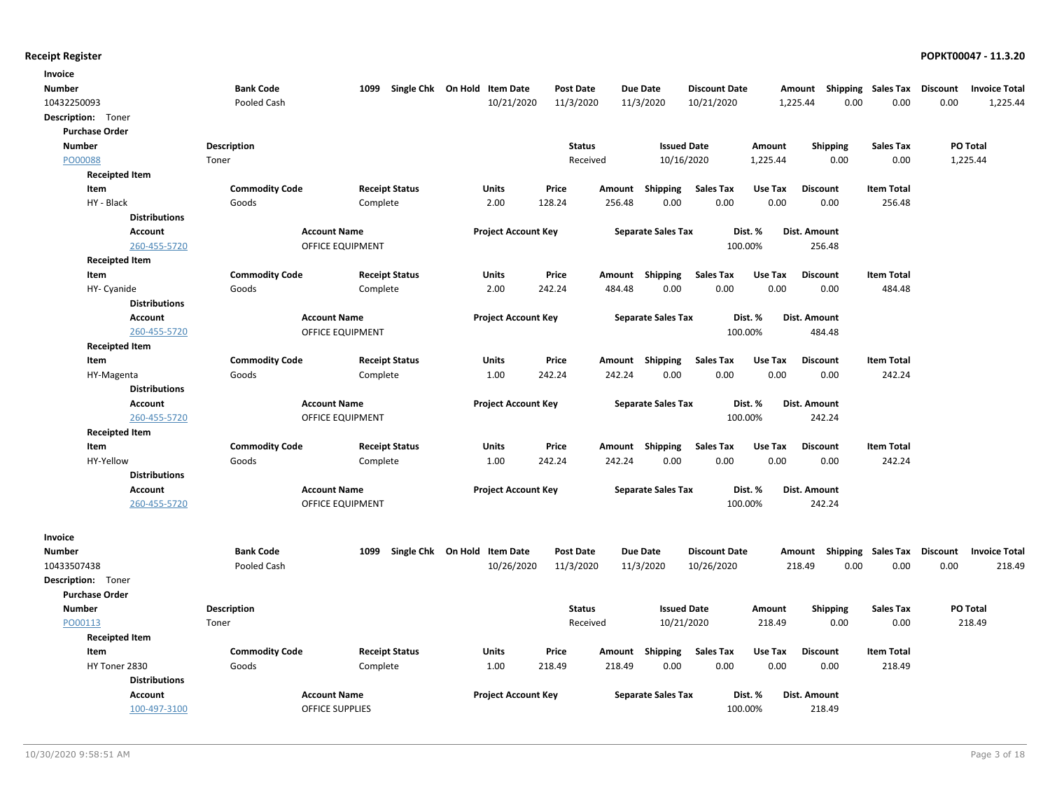| Invoice               |                       |                       |                              |                  |                 |                           |                      |          |                                    |                   |          |                      |
|-----------------------|-----------------------|-----------------------|------------------------------|------------------|-----------------|---------------------------|----------------------|----------|------------------------------------|-------------------|----------|----------------------|
| <b>Number</b>         | <b>Bank Code</b>      | 1099                  | Single Chk On Hold Item Date | <b>Post Date</b> | <b>Due Date</b> |                           | <b>Discount Date</b> |          | Amount Shipping Sales Tax          |                   | Discount | <b>Invoice Total</b> |
| 10432250093           | Pooled Cash           |                       | 10/21/2020                   | 11/3/2020        | 11/3/2020       |                           | 10/21/2020           | 1,225.44 | 0.00                               | 0.00              | 0.00     | 1,225.44             |
| Description: Toner    |                       |                       |                              |                  |                 |                           |                      |          |                                    |                   |          |                      |
| <b>Purchase Order</b> |                       |                       |                              |                  |                 |                           |                      |          |                                    |                   |          |                      |
| <b>Number</b>         | <b>Description</b>    |                       |                              | <b>Status</b>    |                 | <b>Issued Date</b>        |                      | Amount   | <b>Shipping</b>                    | <b>Sales Tax</b>  |          | PO Total             |
| PO00088               | Toner                 |                       |                              | Received         |                 | 10/16/2020                |                      | 1,225.44 | 0.00                               | 0.00              |          | 1,225.44             |
| <b>Receipted Item</b> |                       |                       |                              |                  |                 |                           |                      |          |                                    |                   |          |                      |
| Item                  | <b>Commodity Code</b> | <b>Receipt Status</b> | Units                        | Price            | Amount          | Shipping                  | <b>Sales Tax</b>     | Use Tax  | <b>Discount</b>                    | <b>Item Total</b> |          |                      |
| HY - Black            | Goods                 | Complete              | 2.00                         | 128.24           | 256.48          | 0.00                      | 0.00                 | 0.00     | 0.00                               | 256.48            |          |                      |
| <b>Distributions</b>  |                       |                       |                              |                  |                 |                           |                      |          |                                    |                   |          |                      |
| <b>Account</b>        |                       | <b>Account Name</b>   | <b>Project Account Key</b>   |                  |                 | <b>Separate Sales Tax</b> |                      | Dist. %  | Dist. Amount                       |                   |          |                      |
| 260-455-5720          |                       | OFFICE EQUIPMENT      |                              |                  |                 |                           | 100.00%              |          | 256.48                             |                   |          |                      |
| <b>Receipted Item</b> |                       |                       |                              |                  |                 |                           |                      |          |                                    |                   |          |                      |
| Item                  | <b>Commodity Code</b> | <b>Receipt Status</b> | Units                        | Price            | Amount Shipping |                           | <b>Sales Tax</b>     | Use Tax  | <b>Discount</b>                    | <b>Item Total</b> |          |                      |
| HY- Cyanide           | Goods                 | Complete              | 2.00                         | 242.24           | 484.48          | 0.00                      | 0.00                 | 0.00     | 0.00                               | 484.48            |          |                      |
| <b>Distributions</b>  |                       |                       |                              |                  |                 |                           |                      |          |                                    |                   |          |                      |
| <b>Account</b>        |                       | <b>Account Name</b>   | <b>Project Account Key</b>   |                  |                 | <b>Separate Sales Tax</b> |                      | Dist. %  | Dist. Amount                       |                   |          |                      |
| 260-455-5720          |                       | OFFICE EQUIPMENT      |                              |                  |                 |                           | 100.00%              |          | 484.48                             |                   |          |                      |
| <b>Receipted Item</b> |                       |                       |                              |                  |                 |                           |                      |          |                                    |                   |          |                      |
| Item                  | <b>Commodity Code</b> | <b>Receipt Status</b> | <b>Units</b>                 | Price            | Amount Shipping |                           | Sales Tax            | Use Tax  | <b>Discount</b>                    | <b>Item Total</b> |          |                      |
| HY-Magenta            | Goods                 | Complete              | 1.00                         | 242.24           | 242.24          | 0.00                      | 0.00                 | 0.00     | 0.00                               | 242.24            |          |                      |
| <b>Distributions</b>  |                       |                       |                              |                  |                 |                           |                      |          |                                    |                   |          |                      |
| <b>Account</b>        |                       | <b>Account Name</b>   | <b>Project Account Key</b>   |                  |                 | <b>Separate Sales Tax</b> |                      | Dist. %  | Dist. Amount                       |                   |          |                      |
| 260-455-5720          |                       | OFFICE EQUIPMENT      |                              |                  |                 |                           | 100.00%              |          | 242.24                             |                   |          |                      |
| <b>Receipted Item</b> |                       |                       |                              |                  |                 |                           |                      |          |                                    |                   |          |                      |
| Item                  | <b>Commodity Code</b> | <b>Receipt Status</b> | Units                        | Price            | Amount Shipping |                           | <b>Sales Tax</b>     | Use Tax  | <b>Discount</b>                    | <b>Item Total</b> |          |                      |
| HY-Yellow             | Goods                 | Complete              | 1.00                         | 242.24           | 242.24          | 0.00                      | 0.00                 | 0.00     | 0.00                               | 242.24            |          |                      |
| <b>Distributions</b>  |                       |                       |                              |                  |                 |                           |                      |          |                                    |                   |          |                      |
| <b>Account</b>        |                       | <b>Account Name</b>   | <b>Project Account Key</b>   |                  |                 | <b>Separate Sales Tax</b> |                      | Dist. %  | Dist. Amount                       |                   |          |                      |
| 260-455-5720          |                       | OFFICE EQUIPMENT      |                              |                  |                 |                           | 100.00%              |          | 242.24                             |                   |          |                      |
|                       |                       |                       |                              |                  |                 |                           |                      |          |                                    |                   |          |                      |
| Invoice<br>Number     | <b>Bank Code</b>      | 1099                  | Single Chk On Hold Item Date | <b>Post Date</b> | Due Date        |                           | <b>Discount Date</b> |          | Amount Shipping Sales Tax Discount |                   |          | <b>Invoice Total</b> |
| 10433507438           | Pooled Cash           |                       | 10/26/2020                   | 11/3/2020        | 11/3/2020       |                           | 10/26/2020           | 218.49   | 0.00                               | 0.00              | 0.00     | 218.49               |
| Description: Toner    |                       |                       |                              |                  |                 |                           |                      |          |                                    |                   |          |                      |
| <b>Purchase Order</b> |                       |                       |                              |                  |                 |                           |                      |          |                                    |                   |          |                      |
| <b>Number</b>         | <b>Description</b>    |                       |                              | <b>Status</b>    |                 | <b>Issued Date</b>        |                      | Amount   | <b>Shipping</b>                    | <b>Sales Tax</b>  |          | PO Total             |
| PO00113               | Toner                 |                       |                              | Received         |                 | 10/21/2020                |                      | 218.49   | 0.00                               | 0.00              |          | 218.49               |
| <b>Receipted Item</b> |                       |                       |                              |                  |                 |                           |                      |          |                                    |                   |          |                      |
| Item                  | <b>Commodity Code</b> | <b>Receipt Status</b> | Units                        | Price            | Amount          | Shipping                  | Sales Tax            | Use Tax  | <b>Discount</b>                    | <b>Item Total</b> |          |                      |
| HY Toner 2830         | Goods                 | Complete              | 1.00                         | 218.49           | 218.49          | 0.00                      | 0.00                 | 0.00     | 0.00                               | 218.49            |          |                      |
| <b>Distributions</b>  |                       |                       |                              |                  |                 |                           |                      |          |                                    |                   |          |                      |
| Account               |                       | <b>Account Name</b>   | <b>Project Account Key</b>   |                  |                 | <b>Separate Sales Tax</b> |                      | Dist. %  | Dist. Amount                       |                   |          |                      |
| 100-497-3100          |                       | OFFICE SUPPLIES       |                              |                  |                 |                           | 100.00%              |          | 218.49                             |                   |          |                      |
|                       |                       |                       |                              |                  |                 |                           |                      |          |                                    |                   |          |                      |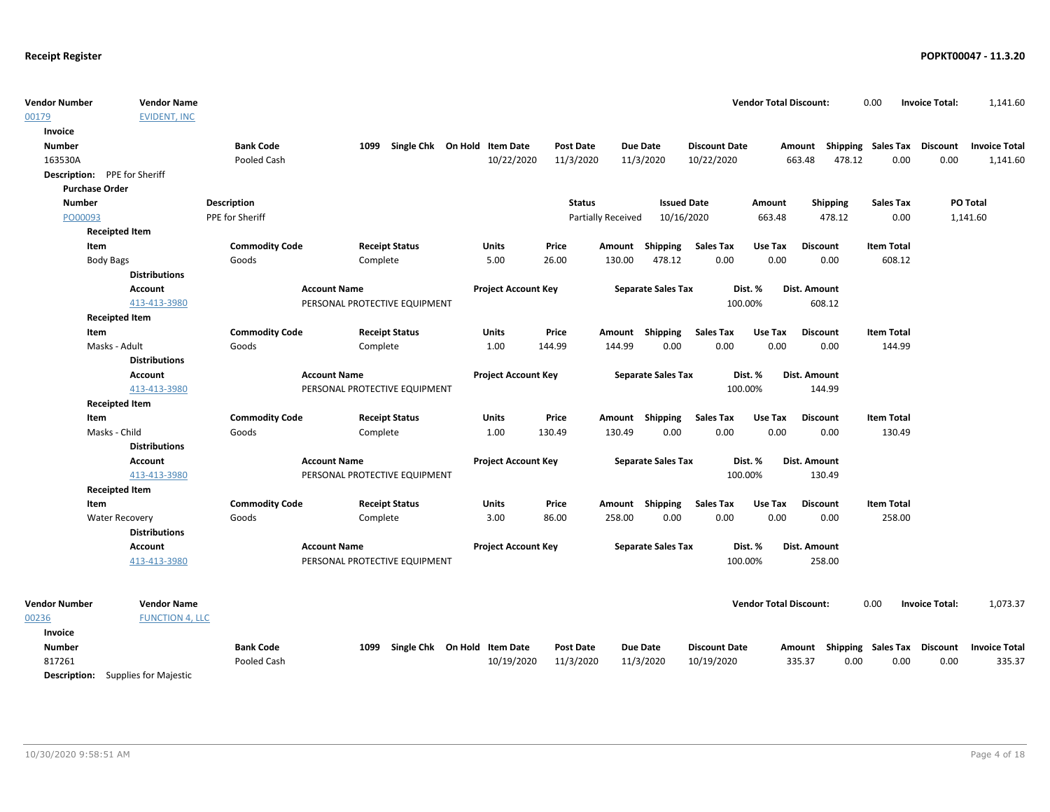| <b>Vendor Number</b><br>00179 | <b>Vendor Name</b><br><b>EVIDENT, INC</b> |                       |                               |                              |                            |               |                           |                           |                      | <b>Vendor Total Discount:</b> |                  | 0.00                      | <b>Invoice Total:</b> | 1,141.60             |
|-------------------------------|-------------------------------------------|-----------------------|-------------------------------|------------------------------|----------------------------|---------------|---------------------------|---------------------------|----------------------|-------------------------------|------------------|---------------------------|-----------------------|----------------------|
| Invoice                       |                                           |                       |                               |                              |                            |               |                           |                           |                      |                               |                  |                           |                       |                      |
| <b>Number</b>                 |                                           | <b>Bank Code</b>      | 1099                          | Single Chk On Hold Item Date |                            | Post Date     |                           | Due Date                  | <b>Discount Date</b> |                               | Amount           | <b>Shipping Sales Tax</b> | Discount              | <b>Invoice Total</b> |
| 163530A                       |                                           | Pooled Cash           |                               |                              | 10/22/2020                 | 11/3/2020     |                           | 11/3/2020                 | 10/22/2020           |                               | 663.48<br>478.12 | 0.00                      | 0.00                  | 1,141.60             |
| Description: PPE for Sheriff  |                                           |                       |                               |                              |                            |               |                           |                           |                      |                               |                  |                           |                       |                      |
| <b>Purchase Order</b>         |                                           |                       |                               |                              |                            |               |                           |                           |                      |                               |                  |                           |                       |                      |
| <b>Number</b>                 |                                           | <b>Description</b>    |                               |                              |                            | <b>Status</b> |                           | <b>Issued Date</b>        |                      | Amount                        | <b>Shipping</b>  | <b>Sales Tax</b>          |                       | PO Total             |
| PO00093                       |                                           | PPE for Sheriff       |                               |                              |                            |               | <b>Partially Received</b> | 10/16/2020                |                      | 663.48                        | 478.12           | 0.00                      |                       | 1,141.60             |
|                               | <b>Receipted Item</b>                     |                       |                               |                              |                            |               |                           |                           |                      |                               |                  |                           |                       |                      |
| Item                          |                                           | <b>Commodity Code</b> |                               | <b>Receipt Status</b>        | <b>Units</b>               | Price         |                           | Amount Shipping           | <b>Sales Tax</b>     | Use Tax                       | <b>Discount</b>  | <b>Item Total</b>         |                       |                      |
|                               | <b>Body Bags</b>                          | Goods                 | Complete                      |                              | 5.00                       | 26.00         | 130.00                    | 478.12                    | 0.00                 | 0.00                          | 0.00             | 608.12                    |                       |                      |
|                               | <b>Distributions</b>                      |                       |                               |                              |                            |               |                           |                           |                      |                               |                  |                           |                       |                      |
|                               | <b>Account</b>                            |                       | <b>Account Name</b>           |                              | <b>Project Account Key</b> |               |                           | <b>Separate Sales Tax</b> |                      | Dist. %                       | Dist. Amount     |                           |                       |                      |
|                               | 413-413-3980                              |                       | PERSONAL PROTECTIVE EQUIPMENT |                              |                            |               |                           |                           |                      | 100.00%                       | 608.12           |                           |                       |                      |
|                               | <b>Receipted Item</b>                     |                       |                               |                              |                            |               |                           |                           |                      |                               |                  |                           |                       |                      |
| Item                          |                                           | <b>Commodity Code</b> |                               | <b>Receipt Status</b>        | <b>Units</b>               | Price         |                           | Amount Shipping           | <b>Sales Tax</b>     | Use Tax                       | <b>Discount</b>  | <b>Item Total</b>         |                       |                      |
|                               | Masks - Adult                             | Goods                 | Complete                      |                              | 1.00                       | 144.99        | 144.99                    | 0.00                      | 0.00                 | 0.00                          | 0.00             | 144.99                    |                       |                      |
|                               | <b>Distributions</b>                      |                       |                               |                              |                            |               |                           |                           |                      |                               |                  |                           |                       |                      |
|                               | <b>Account</b>                            |                       | <b>Account Name</b>           |                              | <b>Project Account Key</b> |               |                           | <b>Separate Sales Tax</b> |                      | Dist. %                       | Dist. Amount     |                           |                       |                      |
|                               | 413-413-3980                              |                       | PERSONAL PROTECTIVE EQUIPMENT |                              |                            |               |                           |                           |                      | 100.00%                       | 144.99           |                           |                       |                      |
|                               | <b>Receipted Item</b>                     |                       |                               |                              |                            |               |                           |                           |                      |                               |                  |                           |                       |                      |
| Item                          |                                           | <b>Commodity Code</b> |                               | <b>Receipt Status</b>        | Units                      | Price         |                           | Amount Shipping           | <b>Sales Tax</b>     | Use Tax                       | <b>Discount</b>  | <b>Item Total</b>         |                       |                      |
|                               | Masks - Child                             | Goods                 | Complete                      |                              | 1.00                       | 130.49        | 130.49                    | 0.00                      | 0.00                 | 0.00                          | 0.00             | 130.49                    |                       |                      |
|                               | <b>Distributions</b>                      |                       |                               |                              |                            |               |                           |                           |                      |                               |                  |                           |                       |                      |
|                               | <b>Account</b>                            |                       | <b>Account Name</b>           |                              | <b>Project Account Key</b> |               |                           | <b>Separate Sales Tax</b> |                      | Dist. %                       | Dist. Amount     |                           |                       |                      |
|                               | 413-413-3980                              |                       | PERSONAL PROTECTIVE EQUIPMENT |                              |                            |               |                           |                           |                      | 100.00%                       | 130.49           |                           |                       |                      |
|                               | <b>Receipted Item</b>                     |                       |                               |                              |                            |               |                           |                           |                      |                               |                  |                           |                       |                      |
| Item                          |                                           | <b>Commodity Code</b> |                               | <b>Receipt Status</b>        | <b>Units</b>               | Price         |                           | Amount Shipping           | <b>Sales Tax</b>     | Use Tax                       | <b>Discount</b>  | <b>Item Total</b>         |                       |                      |
|                               | <b>Water Recovery</b>                     | Goods                 | Complete                      |                              | 3.00                       | 86.00         | 258.00                    | 0.00                      | 0.00                 | 0.00                          | 0.00             | 258.00                    |                       |                      |
|                               | <b>Distributions</b>                      |                       |                               |                              |                            |               |                           |                           |                      |                               |                  |                           |                       |                      |
|                               | <b>Account</b>                            |                       | <b>Account Name</b>           |                              | <b>Project Account Key</b> |               |                           | <b>Separate Sales Tax</b> |                      | Dist. %                       | Dist. Amount     |                           |                       |                      |
|                               | 413-413-3980                              |                       | PERSONAL PROTECTIVE EQUIPMENT |                              |                            |               |                           |                           |                      | 100.00%                       | 258.00           |                           |                       |                      |
| <b>Vendor Number</b>          | <b>Vendor Name</b>                        |                       |                               |                              |                            |               |                           |                           |                      | <b>Vendor Total Discount:</b> |                  | 0.00                      | <b>Invoice Total:</b> | 1,073.37             |
| 00236                         | <b>FUNCTION 4, LLC</b>                    |                       |                               |                              |                            |               |                           |                           |                      |                               |                  |                           |                       |                      |
| <b>Invoice</b>                |                                           |                       |                               |                              |                            |               |                           |                           |                      |                               |                  |                           |                       |                      |
| <b>Number</b>                 |                                           | <b>Bank Code</b>      | 1099                          | Single Chk On Hold Item Date |                            | Post Date     |                           | <b>Due Date</b>           | <b>Discount Date</b> |                               | Amount Shipping  | Sales Tax                 | <b>Discount</b>       | <b>Invoice Total</b> |
| 817261                        |                                           | Pooled Cash           |                               |                              | 10/19/2020                 | 11/3/2020     |                           | 11/3/2020                 | 10/19/2020           |                               | 335.37<br>0.00   | 0.00                      | 0.00                  | 335.37               |
|                               | Description: Cupplies for Maiostic        |                       |                               |                              |                            |               |                           |                           |                      |                               |                  |                           |                       |                      |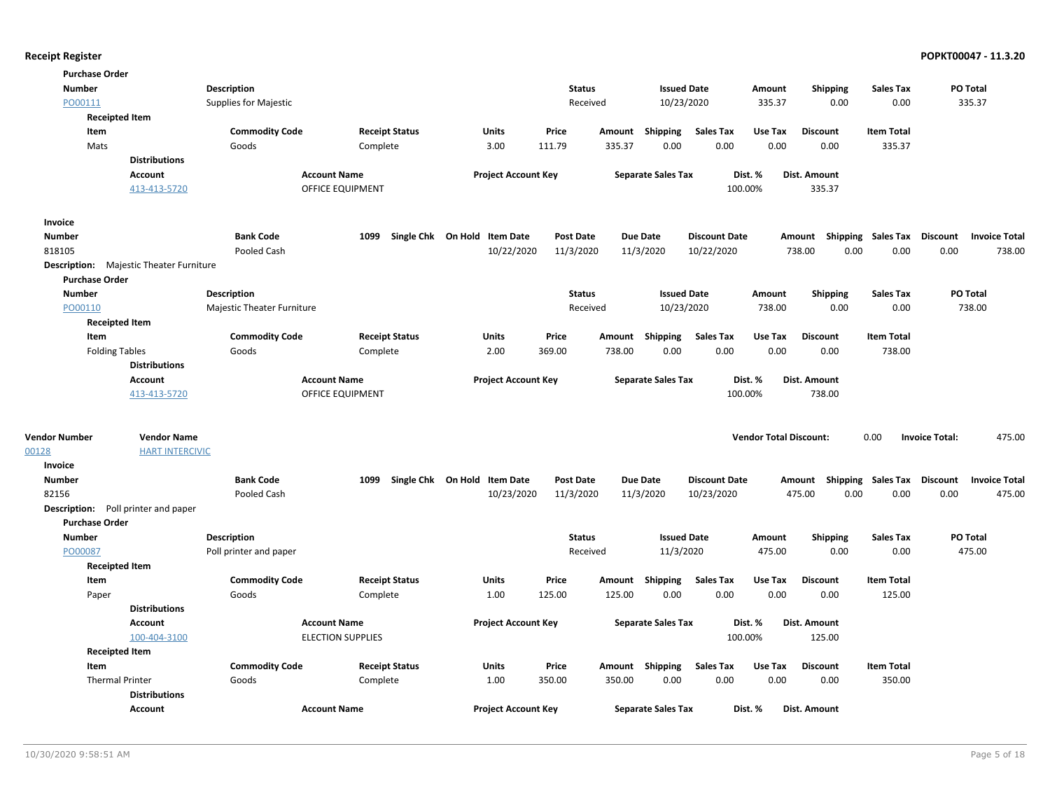| <b>Purchase Order</b>               |                                                |                              |                          |                                   |                  |        |                           |                      |                               |                                    |                   |                       |                      |
|-------------------------------------|------------------------------------------------|------------------------------|--------------------------|-----------------------------------|------------------|--------|---------------------------|----------------------|-------------------------------|------------------------------------|-------------------|-----------------------|----------------------|
| <b>Number</b>                       |                                                | Description                  |                          |                                   | <b>Status</b>    |        | <b>Issued Date</b>        |                      | Amount                        | <b>Shipping</b>                    | <b>Sales Tax</b>  | PO Total              |                      |
| PO00111                             |                                                | <b>Supplies for Majestic</b> |                          |                                   | Received         |        | 10/23/2020                |                      | 335.37                        | 0.00                               | 0.00              | 335.37                |                      |
| <b>Receipted Item</b>               |                                                |                              |                          |                                   |                  |        |                           |                      |                               |                                    |                   |                       |                      |
| Item                                |                                                | <b>Commodity Code</b>        | <b>Receipt Status</b>    | Units                             | Price            |        | Amount Shipping           | <b>Sales Tax</b>     | Use Tax                       | <b>Discount</b>                    | <b>Item Total</b> |                       |                      |
| Mats                                |                                                | Goods                        | Complete                 | 3.00                              | 111.79           | 335.37 | 0.00                      | 0.00                 | 0.00                          | 0.00                               | 335.37            |                       |                      |
|                                     | <b>Distributions</b>                           |                              |                          |                                   |                  |        |                           |                      |                               |                                    |                   |                       |                      |
|                                     | Account                                        |                              | <b>Account Name</b>      | <b>Project Account Key</b>        |                  |        | <b>Separate Sales Tax</b> |                      | Dist. %                       | Dist. Amount                       |                   |                       |                      |
|                                     | 413-413-5720                                   |                              | OFFICE EQUIPMENT         |                                   |                  |        |                           | 100.00%              |                               | 335.37                             |                   |                       |                      |
| Invoice                             |                                                |                              |                          |                                   |                  |        |                           |                      |                               |                                    |                   |                       |                      |
| <b>Number</b>                       |                                                | <b>Bank Code</b>             |                          | 1099 Single Chk On Hold Item Date | <b>Post Date</b> |        | <b>Due Date</b>           | <b>Discount Date</b> |                               | Amount Shipping Sales Tax Discount |                   |                       | <b>Invoice Total</b> |
| 818105                              |                                                | Pooled Cash                  |                          | 10/22/2020                        | 11/3/2020        |        | 11/3/2020                 | 10/22/2020           |                               | 738.00<br>0.00                     | 0.00              | 0.00                  | 738.00               |
|                                     | <b>Description:</b> Majestic Theater Furniture |                              |                          |                                   |                  |        |                           |                      |                               |                                    |                   |                       |                      |
| <b>Purchase Order</b>               |                                                |                              |                          |                                   |                  |        |                           |                      |                               |                                    |                   |                       |                      |
| Number                              |                                                | Description                  |                          |                                   | <b>Status</b>    |        | <b>Issued Date</b>        |                      | Amount                        | <b>Shipping</b>                    | <b>Sales Tax</b>  | PO Total              |                      |
| PO00110                             |                                                | Majestic Theater Furniture   |                          |                                   | Received         |        | 10/23/2020                |                      | 738.00                        | 0.00                               | 0.00              | 738.00                |                      |
| <b>Receipted Item</b>               |                                                |                              |                          |                                   |                  |        |                           |                      |                               |                                    |                   |                       |                      |
| Item                                |                                                | <b>Commodity Code</b>        | <b>Receipt Status</b>    | Units                             | Price            |        | Amount Shipping           | Sales Tax            | Use Tax                       | <b>Discount</b>                    | <b>Item Total</b> |                       |                      |
| <b>Folding Tables</b>               |                                                | Goods                        | Complete                 | 2.00                              | 369.00           | 738.00 | 0.00                      | 0.00                 | 0.00                          | 0.00                               | 738.00            |                       |                      |
|                                     | <b>Distributions</b>                           |                              |                          |                                   |                  |        |                           |                      |                               |                                    |                   |                       |                      |
|                                     | Account                                        |                              | <b>Account Name</b>      | <b>Project Account Key</b>        |                  |        | <b>Separate Sales Tax</b> |                      | Dist. %                       | Dist. Amount                       |                   |                       |                      |
|                                     | 413-413-5720                                   |                              | <b>OFFICE EQUIPMENT</b>  |                                   |                  |        |                           | 100.00%              |                               | 738.00                             |                   |                       |                      |
| <b>Vendor Number</b>                | <b>Vendor Name</b>                             |                              |                          |                                   |                  |        |                           |                      | <b>Vendor Total Discount:</b> |                                    | 0.00              | <b>Invoice Total:</b> | 475.00               |
| 00128                               | <b>HART INTERCIVIC</b>                         |                              |                          |                                   |                  |        |                           |                      |                               |                                    |                   |                       |                      |
| Invoice                             |                                                |                              |                          |                                   |                  |        |                           |                      |                               |                                    |                   |                       |                      |
| <b>Number</b>                       |                                                | <b>Bank Code</b>             | 1099                     | Single Chk On Hold Item Date      | <b>Post Date</b> |        | <b>Due Date</b>           | <b>Discount Date</b> |                               | Amount Shipping Sales Tax          |                   | <b>Discount</b>       | <b>Invoice Total</b> |
| 82156                               |                                                | Pooled Cash                  |                          | 10/23/2020                        | 11/3/2020        |        | 11/3/2020                 | 10/23/2020           |                               | 475.00<br>0.00                     | 0.00              | 0.00                  | 475.00               |
| Description: Poll printer and paper |                                                |                              |                          |                                   |                  |        |                           |                      |                               |                                    |                   |                       |                      |
| <b>Purchase Order</b>               |                                                |                              |                          |                                   |                  |        |                           |                      |                               |                                    |                   |                       |                      |
| <b>Number</b>                       |                                                | Description                  |                          |                                   | <b>Status</b>    |        | <b>Issued Date</b>        |                      | Amount                        | <b>Shipping</b>                    | <b>Sales Tax</b>  | PO Total              |                      |
| PO00087                             |                                                | Poll printer and paper       |                          |                                   | Received         |        | 11/3/2020                 |                      | 475.00                        | 0.00                               | 0.00              | 475.00                |                      |
| <b>Receipted Item</b>               |                                                |                              |                          |                                   |                  |        |                           |                      |                               |                                    |                   |                       |                      |
| Item                                |                                                | <b>Commodity Code</b>        | <b>Receipt Status</b>    | <b>Units</b>                      | Price            | Amount | Shipping                  | <b>Sales Tax</b>     | Use Tax                       | <b>Discount</b>                    | <b>Item Total</b> |                       |                      |
| Paper                               |                                                | Goods                        | Complete                 | 1.00                              | 125.00           | 125.00 | 0.00                      | 0.00                 | 0.00                          | 0.00                               | 125.00            |                       |                      |
|                                     | <b>Distributions</b>                           |                              |                          |                                   |                  |        |                           |                      |                               |                                    |                   |                       |                      |
|                                     | <b>Account</b>                                 |                              | <b>Account Name</b>      | <b>Project Account Key</b>        |                  |        | <b>Separate Sales Tax</b> |                      | Dist. %                       | Dist. Amount                       |                   |                       |                      |
|                                     | 100-404-3100                                   |                              | <b>ELECTION SUPPLIES</b> |                                   |                  |        |                           | 100.00%              |                               | 125.00                             |                   |                       |                      |
| <b>Receipted Item</b>               |                                                |                              |                          |                                   |                  |        |                           |                      |                               |                                    |                   |                       |                      |
| Item                                |                                                | <b>Commodity Code</b>        | <b>Receipt Status</b>    | Units                             | Price            |        | Amount Shipping           | Sales Tax            | Use Tax                       | <b>Discount</b>                    | <b>Item Total</b> |                       |                      |
| <b>Thermal Printer</b>              |                                                | Goods                        | Complete                 | 1.00                              | 350.00           | 350.00 | 0.00                      | 0.00                 | 0.00                          | 0.00                               | 350.00            |                       |                      |
|                                     | <b>Distributions</b>                           |                              |                          |                                   |                  |        |                           |                      |                               |                                    |                   |                       |                      |
|                                     | <b>Account</b>                                 |                              | <b>Account Name</b>      | <b>Project Account Key</b>        |                  |        | <b>Separate Sales Tax</b> |                      | Dist. %                       | Dist. Amount                       |                   |                       |                      |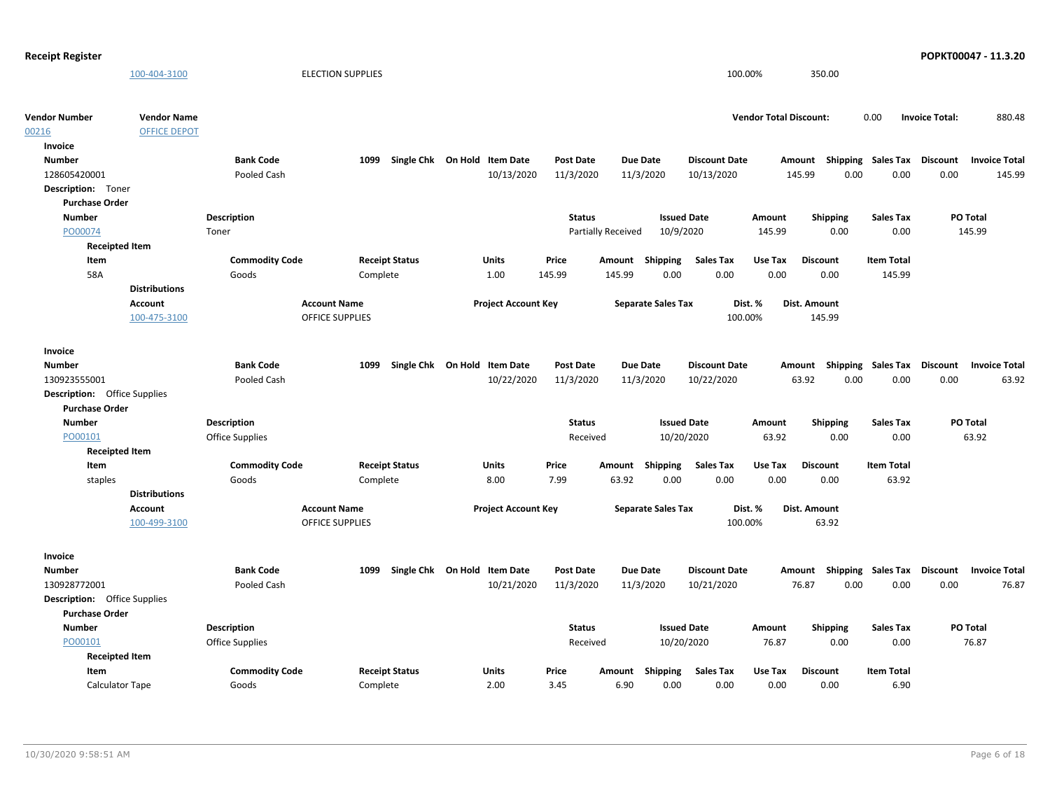| <b>Receipt Register</b>             |                      |                       |                          |                              |                  |                           |                      |                               |                 |                           | POPKT00047 - 11.3.20                    |        |
|-------------------------------------|----------------------|-----------------------|--------------------------|------------------------------|------------------|---------------------------|----------------------|-------------------------------|-----------------|---------------------------|-----------------------------------------|--------|
|                                     | 100-404-3100         |                       | <b>ELECTION SUPPLIES</b> |                              |                  |                           |                      | 100.00%                       | 350.00          |                           |                                         |        |
| <b>Vendor Number</b>                | <b>Vendor Name</b>   |                       |                          |                              |                  |                           |                      | <b>Vendor Total Discount:</b> |                 | 0.00                      | <b>Invoice Total:</b>                   | 880.48 |
| 00216                               | <b>OFFICE DEPOT</b>  |                       |                          |                              |                  |                           |                      |                               |                 |                           |                                         |        |
| Invoice                             |                      |                       |                          |                              |                  |                           |                      |                               |                 |                           |                                         |        |
| <b>Number</b>                       |                      | <b>Bank Code</b>      | 1099                     | Single Chk On Hold Item Date | <b>Post Date</b> | <b>Due Date</b>           | <b>Discount Date</b> |                               | Amount          | <b>Shipping Sales Tax</b> | Discount<br><b>Invoice Total</b>        |        |
| 128605420001                        |                      | Pooled Cash           |                          | 10/13/2020                   | 11/3/2020        | 11/3/2020                 | 10/13/2020           |                               | 145.99<br>0.00  | 0.00                      | 0.00                                    | 145.99 |
| Description: Toner                  |                      |                       |                          |                              |                  |                           |                      |                               |                 |                           |                                         |        |
| <b>Purchase Order</b>               |                      |                       |                          |                              |                  |                           |                      |                               |                 |                           |                                         |        |
| <b>Number</b>                       |                      | Description           |                          |                              | <b>Status</b>    |                           | <b>Issued Date</b>   | Amount                        | Shipping        | <b>Sales Tax</b>          | PO Total                                |        |
| PO00074                             |                      | Toner                 |                          |                              |                  | Partially Received        | 10/9/2020            | 145.99                        | 0.00            | 0.00                      | 145.99                                  |        |
| <b>Receipted Item</b>               |                      |                       |                          |                              |                  |                           |                      |                               |                 |                           |                                         |        |
| Item                                |                      | <b>Commodity Code</b> | <b>Receipt Status</b>    | Units                        | Price            | Shipping<br>Amount        | <b>Sales Tax</b>     | Use Tax                       | <b>Discount</b> | <b>Item Total</b>         |                                         |        |
| 58A                                 |                      | Goods                 | Complete                 | 1.00                         | 145.99           | 145.99                    | 0.00<br>0.00         | 0.00                          | 0.00            | 145.99                    |                                         |        |
|                                     | <b>Distributions</b> |                       |                          |                              |                  |                           |                      |                               |                 |                           |                                         |        |
|                                     | Account              |                       | <b>Account Name</b>      | <b>Project Account Key</b>   |                  | <b>Separate Sales Tax</b> |                      | Dist. %                       | Dist. Amount    |                           |                                         |        |
|                                     | 100-475-3100         |                       | <b>OFFICE SUPPLIES</b>   |                              |                  |                           |                      | 100.00%                       | 145.99          |                           |                                         |        |
| Invoice                             |                      |                       |                          |                              |                  |                           |                      |                               |                 |                           |                                         |        |
| <b>Number</b>                       |                      | <b>Bank Code</b>      | 1099                     | Single Chk On Hold Item Date | Post Date        | <b>Due Date</b>           | <b>Discount Date</b> |                               | Amount          | <b>Shipping Sales Tax</b> | Discount<br><b>Invoice Total</b>        |        |
| 130923555001                        |                      | Pooled Cash           |                          | 10/22/2020                   | 11/3/2020        | 11/3/2020                 | 10/22/2020           |                               | 63.92<br>0.00   | 0.00                      | 0.00                                    | 63.92  |
| <b>Description:</b> Office Supplies |                      |                       |                          |                              |                  |                           |                      |                               |                 |                           |                                         |        |
| <b>Purchase Order</b>               |                      |                       |                          |                              |                  |                           |                      |                               |                 |                           |                                         |        |
| <b>Number</b>                       |                      | <b>Description</b>    |                          |                              | Status           |                           | <b>Issued Date</b>   | Amount                        | Shipping        | <b>Sales Tax</b>          | PO Total                                |        |
| PO00101                             |                      | Office Supplies       |                          |                              | Received         |                           | 10/20/2020           | 63.92                         | 0.00            | 0.00                      | 63.92                                   |        |
| <b>Receipted Item</b>               |                      |                       |                          |                              |                  |                           |                      |                               |                 |                           |                                         |        |
| Item                                |                      | <b>Commodity Code</b> | <b>Receipt Status</b>    | <b>Units</b>                 | Price            | <b>Shipping</b><br>Amount | <b>Sales Tax</b>     | Use Tax                       | <b>Discount</b> | <b>Item Total</b>         |                                         |        |
| staples                             |                      | Goods                 | Complete                 | 8.00                         | 7.99             | 63.92                     | 0.00<br>0.00         | 0.00                          | 0.00            | 63.92                     |                                         |        |
|                                     | <b>Distributions</b> |                       |                          |                              |                  |                           |                      |                               |                 |                           |                                         |        |
|                                     | Account              |                       | <b>Account Name</b>      | <b>Project Account Key</b>   |                  | <b>Separate Sales Tax</b> |                      | Dist. %                       | Dist. Amount    |                           |                                         |        |
|                                     | 100-499-3100         |                       | OFFICE SUPPLIES          |                              |                  |                           |                      | 100.00%                       | 63.92           |                           |                                         |        |
| Invoice                             |                      |                       |                          |                              |                  |                           |                      |                               |                 |                           |                                         |        |
| <b>Number</b>                       |                      | <b>Bank Code</b>      | 1099                     | Single Chk On Hold Item Date | <b>Post Date</b> | <b>Due Date</b>           | <b>Discount Date</b> |                               | Amount          | <b>Shipping Sales Tax</b> | <b>Discount</b><br><b>Invoice Total</b> |        |
| 130928772001                        |                      | Pooled Cash           |                          | 10/21/2020                   | 11/3/2020        | 11/3/2020                 | 10/21/2020           |                               | 76.87<br>0.00   | 0.00                      | 0.00                                    | 76.87  |
| <b>Description:</b> Office Supplies |                      |                       |                          |                              |                  |                           |                      |                               |                 |                           |                                         |        |
| <b>Purchase Order</b>               |                      |                       |                          |                              |                  |                           |                      |                               |                 |                           |                                         |        |
| <b>Number</b>                       |                      | <b>Description</b>    |                          |                              | <b>Status</b>    |                           | <b>Issued Date</b>   | Amount                        | <b>Shipping</b> | <b>Sales Tax</b>          | PO Total                                |        |
| PO00101                             |                      | Office Supplies       |                          |                              | Received         |                           | 10/20/2020           | 76.87                         | 0.00            | 0.00                      | 76.87                                   |        |
| <b>Receipted Item</b>               |                      |                       |                          |                              |                  |                           |                      |                               |                 |                           |                                         |        |
| Item                                |                      | <b>Commodity Code</b> | <b>Receipt Status</b>    | Units                        | Price            | Shipping<br>Amount        | <b>Sales Tax</b>     | Use Tax                       | <b>Discount</b> | <b>Item Total</b>         |                                         |        |
| Calculator Tape                     |                      | Goods                 | Complete                 | 2.00                         | 3.45             | 6.90                      | 0.00<br>0.00         | 0.00                          | 0.00            | 6.90                      |                                         |        |
|                                     |                      |                       |                          |                              |                  |                           |                      |                               |                 |                           |                                         |        |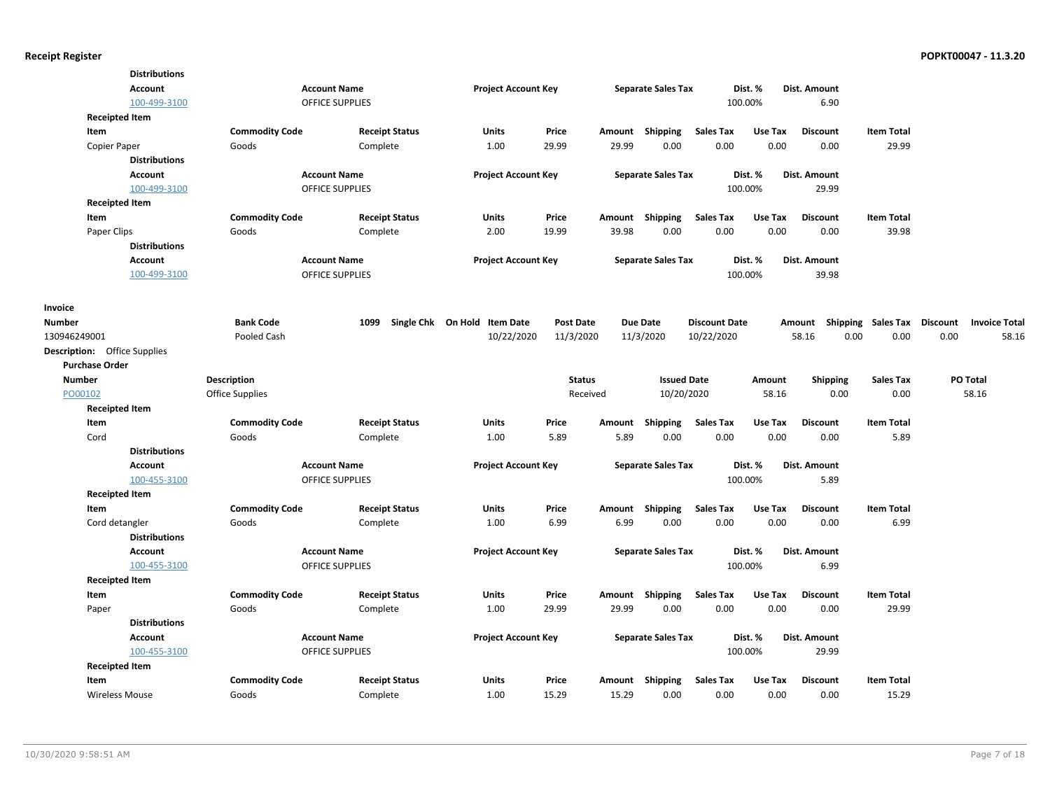| <b>Distributions</b>                |                       |                        |                              |                  |        |                           |                      |         |                 |                             |                      |
|-------------------------------------|-----------------------|------------------------|------------------------------|------------------|--------|---------------------------|----------------------|---------|-----------------|-----------------------------|----------------------|
| <b>Account</b>                      |                       | <b>Account Name</b>    | <b>Project Account Key</b>   |                  |        | <b>Separate Sales Tax</b> |                      | Dist. % | Dist. Amount    |                             |                      |
| 100-499-3100                        |                       | <b>OFFICE SUPPLIES</b> |                              |                  |        |                           | 100.00%              |         | 6.90            |                             |                      |
| <b>Receipted Item</b>               |                       |                        |                              |                  |        |                           |                      |         |                 |                             |                      |
| Item                                | <b>Commodity Code</b> | <b>Receipt Status</b>  | <b>Units</b>                 | Price            | Amount | Shipping                  | <b>Sales Tax</b>     | Use Tax | <b>Discount</b> | <b>Item Total</b>           |                      |
| Copier Paper                        | Goods                 | Complete               | 1.00                         | 29.99            | 29.99  | 0.00                      | 0.00                 | 0.00    | 0.00            | 29.99                       |                      |
| <b>Distributions</b>                |                       |                        |                              |                  |        |                           |                      |         |                 |                             |                      |
| <b>Account</b>                      |                       | <b>Account Name</b>    | <b>Project Account Key</b>   |                  |        | <b>Separate Sales Tax</b> |                      | Dist. % | Dist. Amount    |                             |                      |
| 100-499-3100                        |                       | <b>OFFICE SUPPLIES</b> |                              |                  |        |                           | 100.00%              |         | 29.99           |                             |                      |
| <b>Receipted Item</b>               |                       |                        |                              |                  |        |                           |                      |         |                 |                             |                      |
| Item                                | <b>Commodity Code</b> | <b>Receipt Status</b>  | Units                        | Price            |        | Amount Shipping           | <b>Sales Tax</b>     | Use Tax | <b>Discount</b> | <b>Item Total</b>           |                      |
| Paper Clips                         | Goods                 | Complete               | 2.00                         | 19.99            | 39.98  | 0.00                      | 0.00                 | 0.00    | 0.00            | 39.98                       |                      |
| <b>Distributions</b>                |                       |                        |                              |                  |        |                           |                      |         |                 |                             |                      |
| <b>Account</b>                      |                       | <b>Account Name</b>    | <b>Project Account Key</b>   |                  |        | <b>Separate Sales Tax</b> |                      | Dist. % | Dist. Amount    |                             |                      |
| 100-499-3100                        |                       | OFFICE SUPPLIES        |                              |                  |        |                           | 100.00%              |         | 39.98           |                             |                      |
| Invoice                             |                       |                        |                              |                  |        |                           |                      |         |                 |                             |                      |
| <b>Number</b>                       | <b>Bank Code</b>      | 1099                   | Single Chk On Hold Item Date | <b>Post Date</b> |        | <b>Due Date</b>           | <b>Discount Date</b> |         | Amount          | Shipping Sales Tax Discount | <b>Invoice Total</b> |
| 130946249001                        | Pooled Cash           |                        | 10/22/2020                   | 11/3/2020        |        | 11/3/2020                 | 10/22/2020           |         | 58.16           | 0.00<br>0.00                | 0.00<br>58.16        |
| <b>Description:</b> Office Supplies |                       |                        |                              |                  |        |                           |                      |         |                 |                             |                      |
| <b>Purchase Order</b>               |                       |                        |                              |                  |        |                           |                      |         |                 |                             |                      |
| <b>Number</b>                       | <b>Description</b>    |                        |                              | <b>Status</b>    |        | <b>Issued Date</b>        |                      | Amount  | <b>Shipping</b> | <b>Sales Tax</b>            | PO Total             |
| PO00102                             | Office Supplies       |                        |                              | Received         |        | 10/20/2020                |                      | 58.16   | 0.00            | 0.00                        | 58.16                |
| <b>Receipted Item</b>               |                       |                        |                              |                  |        |                           |                      |         |                 |                             |                      |
| Item                                | <b>Commodity Code</b> | <b>Receipt Status</b>  | <b>Units</b>                 | Price            | Amount | Shipping                  | <b>Sales Tax</b>     | Use Tax | <b>Discount</b> | <b>Item Total</b>           |                      |
| Cord                                | Goods                 | Complete               | 1.00                         | 5.89             | 5.89   | 0.00                      | 0.00                 | 0.00    | 0.00            | 5.89                        |                      |
| <b>Distributions</b>                |                       |                        |                              |                  |        |                           |                      |         |                 |                             |                      |
| Account                             |                       | <b>Account Name</b>    | <b>Project Account Key</b>   |                  |        | <b>Separate Sales Tax</b> |                      | Dist. % | Dist. Amount    |                             |                      |
| 100-455-3100                        |                       | <b>OFFICE SUPPLIES</b> |                              |                  |        |                           | 100.00%              |         | 5.89            |                             |                      |
| <b>Receipted Item</b>               |                       |                        |                              |                  |        |                           |                      |         |                 |                             |                      |
| Item                                | <b>Commodity Code</b> | <b>Receipt Status</b>  | Units                        | Price            | Amount | Shipping                  | <b>Sales Tax</b>     | Use Tax | <b>Discount</b> | <b>Item Total</b>           |                      |
| Cord detangler                      | Goods                 | Complete               | 1.00                         | 6.99             | 6.99   | 0.00                      | 0.00                 | 0.00    | 0.00            | 6.99                        |                      |
| <b>Distributions</b>                |                       |                        |                              |                  |        |                           |                      |         |                 |                             |                      |
| <b>Account</b>                      |                       | <b>Account Name</b>    | <b>Project Account Key</b>   |                  |        | <b>Separate Sales Tax</b> |                      | Dist. % | Dist. Amount    |                             |                      |
| 100-455-3100                        |                       | <b>OFFICE SUPPLIES</b> |                              |                  |        |                           | 100.00%              |         | 6.99            |                             |                      |
| <b>Receipted Item</b>               |                       |                        |                              |                  |        |                           |                      |         |                 |                             |                      |
| Item                                | <b>Commodity Code</b> | <b>Receipt Status</b>  | Units                        | Price            |        | Amount Shipping           | <b>Sales Tax</b>     | Use Tax | <b>Discount</b> | <b>Item Total</b>           |                      |
| Paper                               | Goods                 | Complete               | 1.00                         | 29.99            | 29.99  | 0.00                      | 0.00                 | 0.00    | 0.00            | 29.99                       |                      |
| <b>Distributions</b>                |                       |                        |                              |                  |        |                           |                      |         |                 |                             |                      |
| <b>Account</b>                      |                       | <b>Account Name</b>    | <b>Project Account Key</b>   |                  |        | <b>Separate Sales Tax</b> |                      | Dist. % | Dist. Amount    |                             |                      |
| 100-455-3100                        |                       | <b>OFFICE SUPPLIES</b> |                              |                  |        |                           | 100.00%              |         | 29.99           |                             |                      |
| <b>Receipted Item</b>               |                       |                        |                              |                  |        |                           |                      |         |                 |                             |                      |
| Item                                | <b>Commodity Code</b> | <b>Receipt Status</b>  | Units                        | Price            | Amount | Shipping                  | <b>Sales Tax</b>     | Use Tax | <b>Discount</b> | <b>Item Total</b>           |                      |
| <b>Wireless Mouse</b>               | Goods                 | Complete               | 1.00                         | 15.29            | 15.29  | 0.00                      | 0.00                 | 0.00    | 0.00            | 15.29                       |                      |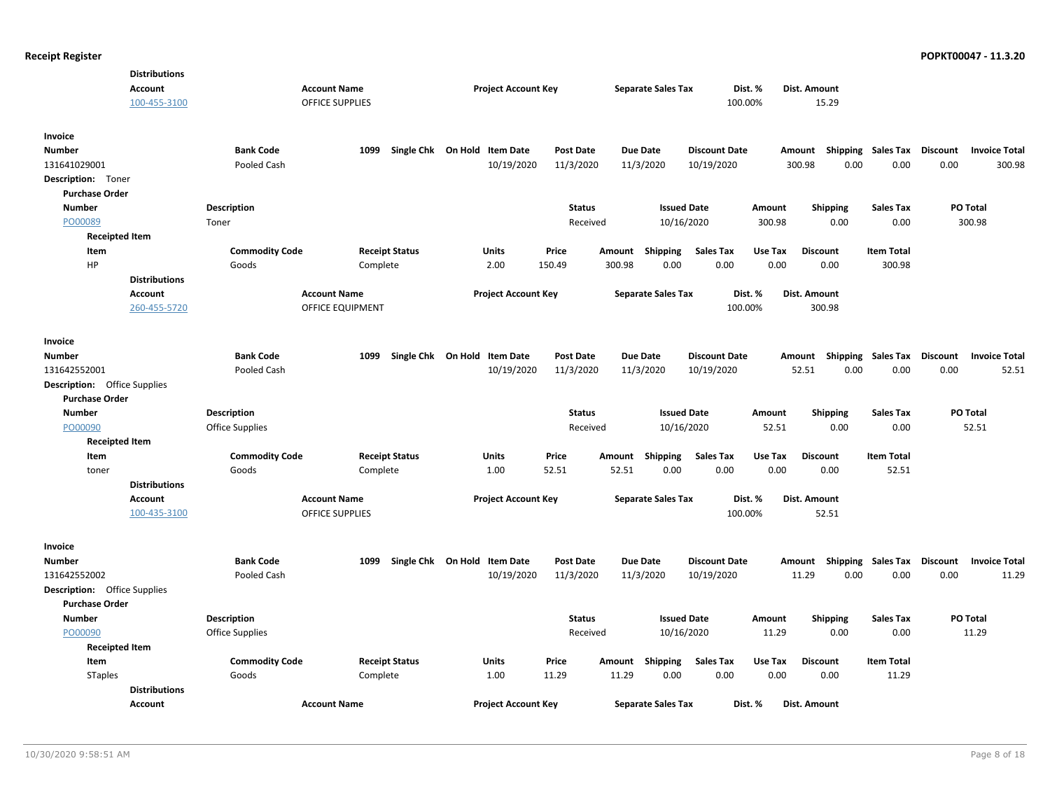|                                     | <b>Distributions</b>    |                        |                                         |                              |                  |                 |                           |                      |         |                                    |                   |                 |                      |
|-------------------------------------|-------------------------|------------------------|-----------------------------------------|------------------------------|------------------|-----------------|---------------------------|----------------------|---------|------------------------------------|-------------------|-----------------|----------------------|
|                                     | <b>Account</b>          |                        | <b>Account Name</b>                     | <b>Project Account Key</b>   |                  |                 | <b>Separate Sales Tax</b> | Dist. %              |         | Dist. Amount                       |                   |                 |                      |
|                                     | 100-455-3100            |                        | <b>OFFICE SUPPLIES</b>                  |                              |                  |                 |                           | 100.00%              |         | 15.29                              |                   |                 |                      |
| Invoice                             |                         |                        |                                         |                              |                  |                 |                           |                      |         |                                    |                   |                 |                      |
| Number                              |                         | <b>Bank Code</b>       | 1099                                    | Single Chk On Hold Item Date | <b>Post Date</b> | <b>Due Date</b> |                           | <b>Discount Date</b> |         | Shipping<br>Amount                 | Sales Tax         | Discount        | <b>Invoice Total</b> |
| 131641029001                        |                         | Pooled Cash            |                                         | 10/19/2020                   | 11/3/2020        | 11/3/2020       |                           | 10/19/2020           |         | 300.98<br>0.00                     | 0.00              | 0.00            | 300.98               |
| Description: Toner                  |                         |                        |                                         |                              |                  |                 |                           |                      |         |                                    |                   |                 |                      |
| <b>Purchase Order</b>               |                         |                        |                                         |                              |                  |                 |                           |                      |         |                                    |                   |                 |                      |
| <b>Number</b>                       |                         | <b>Description</b>     |                                         |                              | <b>Status</b>    |                 | <b>Issued Date</b>        |                      | Amount  | <b>Shipping</b>                    | <b>Sales Tax</b>  | PO Total        |                      |
| PO00089                             |                         | Toner                  |                                         |                              | Received         |                 | 10/16/2020                |                      | 300.98  | 0.00                               | 0.00              |                 | 300.98               |
| <b>Receipted Item</b>               |                         |                        |                                         |                              |                  |                 |                           |                      |         |                                    |                   |                 |                      |
| Item                                |                         | <b>Commodity Code</b>  | <b>Receipt Status</b>                   | <b>Units</b>                 | Price            | Amount Shipping |                           | <b>Sales Tax</b>     | Use Tax | <b>Discount</b>                    | <b>Item Total</b> |                 |                      |
| HP                                  |                         | Goods                  | Complete                                | 2.00                         | 150.49           | 300.98          | 0.00                      | 0.00                 | 0.00    | 0.00                               | 300.98            |                 |                      |
|                                     | <b>Distributions</b>    |                        |                                         |                              |                  |                 |                           |                      |         |                                    |                   |                 |                      |
|                                     | Account<br>260-455-5720 |                        | <b>Account Name</b><br>OFFICE EQUIPMENT | <b>Project Account Key</b>   |                  |                 | <b>Separate Sales Tax</b> | Dist. %<br>100.00%   |         | Dist. Amount<br>300.98             |                   |                 |                      |
| Invoice                             |                         |                        |                                         |                              |                  |                 |                           |                      |         |                                    |                   |                 |                      |
| Number                              |                         | <b>Bank Code</b>       | 1099                                    | Single Chk On Hold Item Date | <b>Post Date</b> | <b>Due Date</b> |                           | <b>Discount Date</b> |         | Amount Shipping Sales Tax Discount |                   |                 | <b>Invoice Total</b> |
| 131642552001                        |                         | Pooled Cash            |                                         | 10/19/2020                   | 11/3/2020        | 11/3/2020       |                           | 10/19/2020           |         | 52.51<br>0.00                      | 0.00              | 0.00            | 52.51                |
| <b>Description:</b> Office Supplies |                         |                        |                                         |                              |                  |                 |                           |                      |         |                                    |                   |                 |                      |
| <b>Purchase Order</b>               |                         |                        |                                         |                              |                  |                 |                           |                      |         |                                    |                   |                 |                      |
| <b>Number</b>                       |                         | <b>Description</b>     |                                         |                              | <b>Status</b>    |                 | <b>Issued Date</b>        |                      | Amount  | <b>Shipping</b>                    | <b>Sales Tax</b>  | PO Total        |                      |
| PO00090                             |                         | <b>Office Supplies</b> |                                         |                              | Received         |                 | 10/16/2020                |                      | 52.51   | 0.00                               | 0.00              |                 | 52.51                |
| <b>Receipted Item</b>               |                         |                        |                                         |                              |                  |                 |                           |                      |         |                                    |                   |                 |                      |
| Item                                |                         | <b>Commodity Code</b>  | <b>Receipt Status</b>                   | Units                        | Price            | Amount Shipping |                           | <b>Sales Tax</b>     | Use Tax | <b>Discount</b>                    | <b>Item Total</b> |                 |                      |
| toner                               |                         | Goods                  | Complete                                | 1.00                         | 52.51            | 52.51           | 0.00                      | 0.00                 | 0.00    | 0.00                               | 52.51             |                 |                      |
|                                     | <b>Distributions</b>    |                        |                                         |                              |                  |                 |                           |                      |         |                                    |                   |                 |                      |
|                                     | Account                 |                        | <b>Account Name</b>                     | <b>Project Account Key</b>   |                  |                 | <b>Separate Sales Tax</b> | Dist. %              |         | Dist. Amount                       |                   |                 |                      |
|                                     | 100-435-3100            |                        | <b>OFFICE SUPPLIES</b>                  |                              |                  |                 |                           | 100.00%              |         | 52.51                              |                   |                 |                      |
| Invoice                             |                         |                        |                                         |                              |                  |                 |                           |                      |         |                                    |                   |                 |                      |
| Number                              |                         | <b>Bank Code</b>       | 1099                                    | Single Chk On Hold Item Date | <b>Post Date</b> | <b>Due Date</b> |                           | <b>Discount Date</b> |         | Shipping<br>Amount                 | Sales Tax         | <b>Discount</b> | <b>Invoice Total</b> |
| 131642552002                        |                         | Pooled Cash            |                                         | 10/19/2020                   | 11/3/2020        | 11/3/2020       |                           | 10/19/2020           |         | 11.29<br>0.00                      | 0.00              | 0.00            | 11.29                |
| <b>Description:</b> Office Supplies |                         |                        |                                         |                              |                  |                 |                           |                      |         |                                    |                   |                 |                      |
| <b>Purchase Order</b>               |                         |                        |                                         |                              |                  |                 |                           |                      |         |                                    |                   |                 |                      |
| <b>Number</b>                       |                         | <b>Description</b>     |                                         |                              | Status           |                 | <b>Issued Date</b>        |                      | Amount  | <b>Shipping</b>                    | <b>Sales Tax</b>  | PO Total        |                      |
| PO00090                             |                         | <b>Office Supplies</b> |                                         |                              | Received         |                 | 10/16/2020                |                      | 11.29   | 0.00                               | 0.00              |                 | 11.29                |
| <b>Receipted Item</b>               |                         |                        |                                         |                              |                  |                 |                           |                      |         |                                    |                   |                 |                      |
| Item                                |                         | <b>Commodity Code</b>  | <b>Receipt Status</b>                   | Units                        | Price            | Amount Shipping |                           | <b>Sales Tax</b>     | Use Tax | Discount                           | <b>Item Total</b> |                 |                      |
| <b>STaples</b>                      |                         | Goods                  | Complete                                | 1.00                         | 11.29            | 11.29           | 0.00                      | 0.00                 | 0.00    | 0.00                               | 11.29             |                 |                      |
|                                     | <b>Distributions</b>    |                        |                                         |                              |                  |                 |                           |                      |         |                                    |                   |                 |                      |
|                                     | Account                 |                        | <b>Account Name</b>                     | <b>Project Account Key</b>   |                  |                 | <b>Separate Sales Tax</b> | Dist. %              |         | Dist. Amount                       |                   |                 |                      |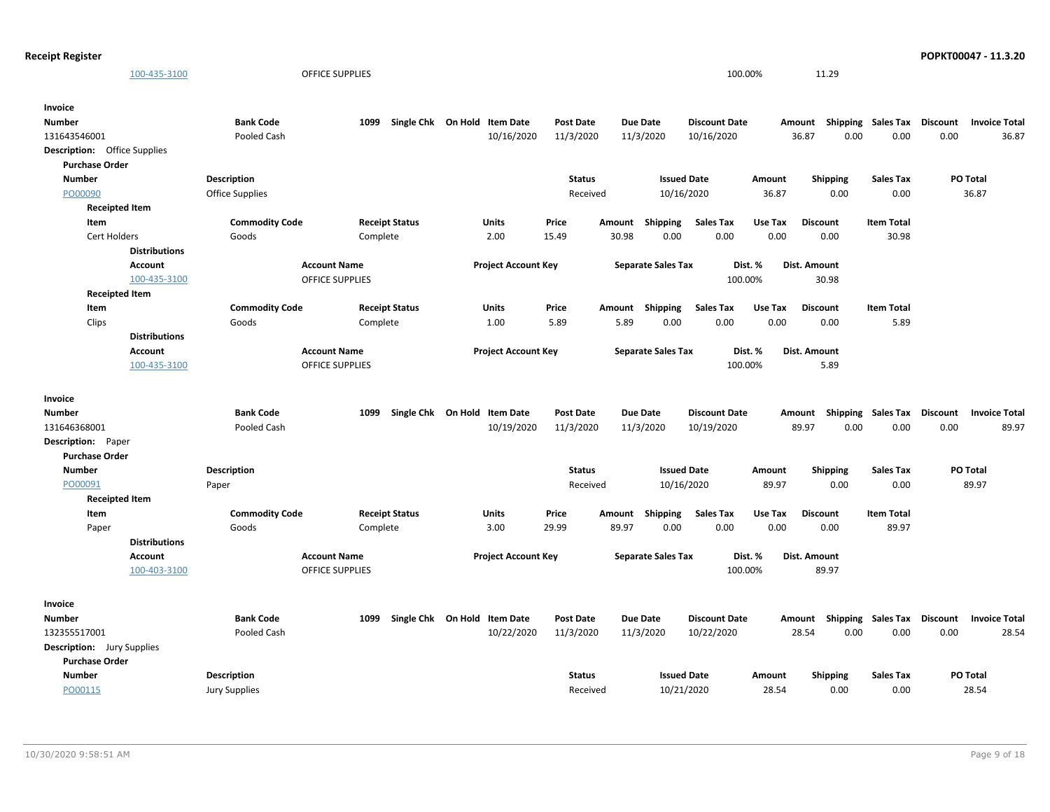| <b>Receipt Register</b>             |                         |                        |                                               |                                   |                            |                  |        |                           |                      |         |                           |                             |                 | POPKT00047 - 11.3.20 |
|-------------------------------------|-------------------------|------------------------|-----------------------------------------------|-----------------------------------|----------------------------|------------------|--------|---------------------------|----------------------|---------|---------------------------|-----------------------------|-----------------|----------------------|
|                                     | 100-435-3100            |                        | <b>OFFICE SUPPLIES</b>                        |                                   |                            |                  |        |                           | 100.00%              |         | 11.29                     |                             |                 |                      |
| Invoice                             |                         |                        |                                               |                                   |                            |                  |        |                           |                      |         |                           |                             |                 |                      |
| <b>Number</b>                       |                         | <b>Bank Code</b>       |                                               | 1099 Single Chk On Hold Item Date |                            | <b>Post Date</b> |        | Due Date                  | <b>Discount Date</b> |         | Amount                    | <b>Shipping Sales Tax</b>   | <b>Discount</b> | <b>Invoice Total</b> |
| 131643546001                        |                         | Pooled Cash            |                                               |                                   | 10/16/2020                 | 11/3/2020        |        | 11/3/2020                 | 10/16/2020           |         | 36.87<br>0.00             | 0.00                        | 0.00            | 36.87                |
| <b>Description:</b> Office Supplies |                         |                        |                                               |                                   |                            |                  |        |                           |                      |         |                           |                             |                 |                      |
| <b>Purchase Order</b>               |                         |                        |                                               |                                   |                            |                  |        |                           |                      |         |                           |                             |                 |                      |
| <b>Number</b>                       |                         | Description            |                                               |                                   |                            | <b>Status</b>    |        | <b>Issued Date</b>        |                      | Amount  | Shipping                  | <b>Sales Tax</b>            |                 | PO Total             |
| PO00090                             |                         | <b>Office Supplies</b> |                                               |                                   |                            | Received         |        | 10/16/2020                |                      | 36.87   | 0.00                      | 0.00                        |                 | 36.87                |
| <b>Receipted Item</b>               |                         |                        |                                               |                                   |                            |                  |        |                           |                      |         |                           |                             |                 |                      |
| Item                                |                         | <b>Commodity Code</b>  |                                               | <b>Receipt Status</b>             | <b>Units</b>               | Price            | Amount | Shipping                  | <b>Sales Tax</b>     | Use Tax | <b>Discount</b>           | <b>Item Total</b>           |                 |                      |
| Cert Holders                        |                         | Goods                  | Complete                                      |                                   | 2.00                       | 15.49            | 30.98  | 0.00                      | 0.00                 | 0.00    | 0.00                      | 30.98                       |                 |                      |
|                                     | <b>Distributions</b>    |                        |                                               |                                   |                            |                  |        |                           |                      |         |                           |                             |                 |                      |
|                                     | Account<br>100-435-3100 |                        | <b>Account Name</b><br><b>OFFICE SUPPLIES</b> |                                   | <b>Project Account Key</b> |                  |        | <b>Separate Sales Tax</b> | 100.00%              | Dist. % | Dist. Amount<br>30.98     |                             |                 |                      |
| <b>Receipted Item</b>               |                         |                        |                                               |                                   |                            |                  |        |                           |                      |         |                           |                             |                 |                      |
| Item                                |                         | <b>Commodity Code</b>  |                                               | <b>Receipt Status</b>             | <b>Units</b>               | Price            |        | Amount Shipping           | Sales Tax            | Use Tax | <b>Discount</b>           | <b>Item Total</b>           |                 |                      |
| Clips                               |                         | Goods                  | Complete                                      |                                   | 1.00                       | 5.89             | 5.89   | 0.00                      | 0.00                 | 0.00    | 0.00                      | 5.89                        |                 |                      |
|                                     | <b>Distributions</b>    |                        |                                               |                                   |                            |                  |        |                           |                      |         |                           |                             |                 |                      |
|                                     | Account                 |                        | <b>Account Name</b>                           |                                   | <b>Project Account Key</b> |                  |        | <b>Separate Sales Tax</b> |                      | Dist. % | Dist. Amount              |                             |                 |                      |
|                                     | 100-435-3100            |                        | <b>OFFICE SUPPLIES</b>                        |                                   |                            |                  |        |                           | 100.00%              |         | 5.89                      |                             |                 |                      |
|                                     |                         |                        |                                               |                                   |                            |                  |        |                           |                      |         |                           |                             |                 |                      |
| Invoice                             |                         |                        |                                               |                                   |                            |                  |        |                           |                      |         |                           |                             |                 |                      |
| <b>Number</b>                       |                         | <b>Bank Code</b>       | 1099                                          | Single Chk On Hold Item Date      |                            | <b>Post Date</b> |        | Due Date                  | <b>Discount Date</b> |         | Amount Shipping Sales Tax |                             | Discount        | <b>Invoice Total</b> |
| 131646368001                        |                         | Pooled Cash            |                                               |                                   | 10/19/2020                 | 11/3/2020        |        | 11/3/2020                 | 10/19/2020           |         | 89.97<br>0.00             | 0.00                        | 0.00            | 89.97                |
| Description: Paper                  |                         |                        |                                               |                                   |                            |                  |        |                           |                      |         |                           |                             |                 |                      |
| <b>Purchase Order</b>               |                         |                        |                                               |                                   |                            |                  |        |                           |                      |         |                           |                             |                 |                      |
| <b>Number</b>                       |                         | <b>Description</b>     |                                               |                                   |                            | <b>Status</b>    |        | <b>Issued Date</b>        |                      | Amount  | <b>Shipping</b>           | <b>Sales Tax</b>            |                 | PO Total             |
| PO00091                             |                         | Paper                  |                                               |                                   |                            | Received         |        | 10/16/2020                |                      | 89.97   | 0.00                      | 0.00                        |                 | 89.97                |
| <b>Receipted Item</b>               |                         |                        |                                               |                                   |                            |                  |        |                           |                      |         |                           |                             |                 |                      |
| Item                                |                         | <b>Commodity Code</b>  |                                               | <b>Receipt Status</b>             | <b>Units</b>               | Price            |        | Amount Shipping           | <b>Sales Tax</b>     | Use Tax | <b>Discount</b>           | <b>Item Total</b>           |                 |                      |
| Paper                               |                         | Goods                  | Complete                                      |                                   | 3.00                       | 29.99            | 89.97  | 0.00                      | 0.00                 | 0.00    | 0.00                      | 89.97                       |                 |                      |
|                                     | <b>Distributions</b>    |                        |                                               |                                   |                            |                  |        |                           |                      |         |                           |                             |                 |                      |
|                                     | Account                 |                        | <b>Account Name</b>                           |                                   | <b>Project Account Key</b> |                  |        | <b>Separate Sales Tax</b> |                      | Dist. % | Dist. Amount              |                             |                 |                      |
|                                     | 100-403-3100            |                        | OFFICE SUPPLIES                               |                                   |                            |                  |        |                           | 100.00%              |         | 89.97                     |                             |                 |                      |
| Invoice                             |                         |                        |                                               |                                   |                            |                  |        |                           |                      |         |                           |                             |                 |                      |
| <b>Number</b>                       |                         | <b>Bank Code</b>       | 1099                                          | Single Chk On Hold Item Date      |                            | <b>Post Date</b> |        | Due Date                  | <b>Discount Date</b> |         | Amount                    | Shipping Sales Tax Discount |                 | <b>Invoice Total</b> |
| 132355517001                        |                         | Pooled Cash            |                                               |                                   | 10/22/2020                 | 11/3/2020        |        | 11/3/2020                 | 10/22/2020           |         | 28.54<br>0.00             | 0.00                        | 0.00            | 28.54                |
| <b>Description:</b> Jury Supplies   |                         |                        |                                               |                                   |                            |                  |        |                           |                      |         |                           |                             |                 |                      |
| <b>Purchase Order</b>               |                         |                        |                                               |                                   |                            |                  |        |                           |                      |         |                           |                             |                 |                      |
| <b>Number</b>                       |                         | <b>Description</b>     |                                               |                                   |                            | <b>Status</b>    |        | <b>Issued Date</b>        |                      | Amount  | Shipping                  | <b>Sales Tax</b>            |                 | PO Total             |
| PO00115                             |                         | <b>Jury Supplies</b>   |                                               |                                   |                            | Received         |        | 10/21/2020                |                      | 28.54   | 0.00                      | 0.00                        |                 | 28.54                |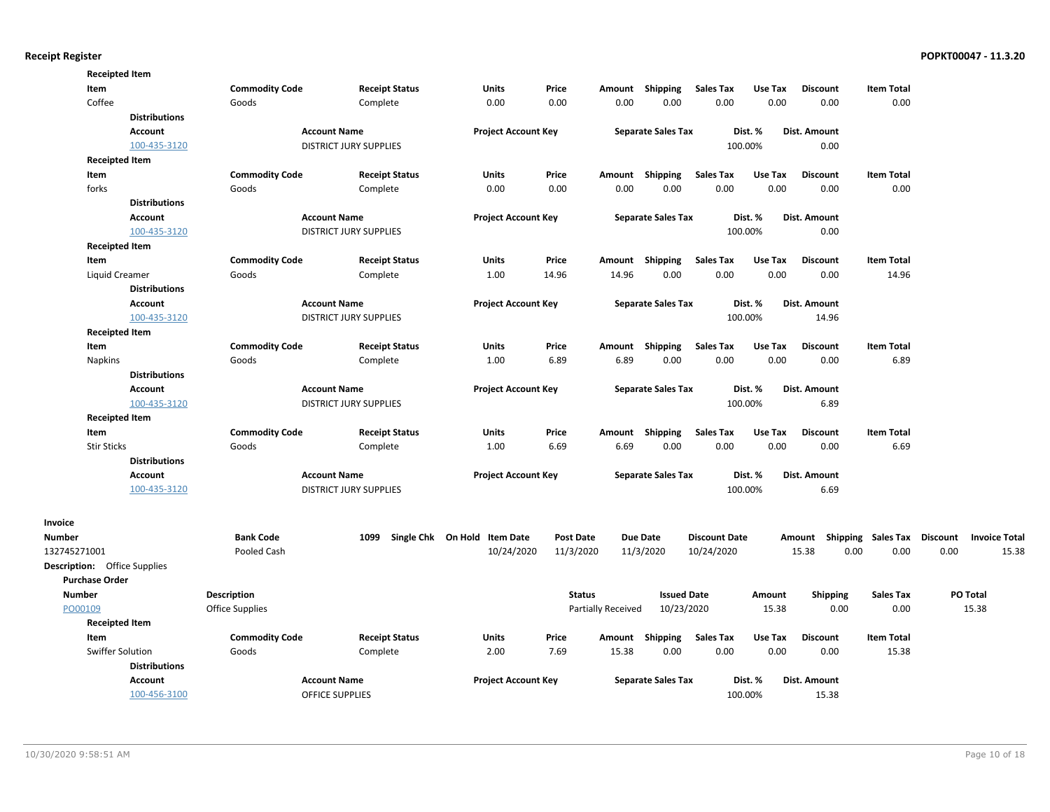|                                     | <b>Receipted Item</b> |                        |                               |                              |                  |                    |                           |                      |         |                                    |                   |      |                      |
|-------------------------------------|-----------------------|------------------------|-------------------------------|------------------------------|------------------|--------------------|---------------------------|----------------------|---------|------------------------------------|-------------------|------|----------------------|
| Item                                |                       | <b>Commodity Code</b>  | <b>Receipt Status</b>         | <b>Units</b>                 | Price            | Amount             | Shipping                  | <b>Sales Tax</b>     | Use Tax | <b>Discount</b>                    | <b>Item Total</b> |      |                      |
| Coffee                              |                       | Goods                  | Complete                      | 0.00                         | 0.00             | 0.00               | 0.00                      | 0.00                 | 0.00    | 0.00                               | 0.00              |      |                      |
|                                     | <b>Distributions</b>  |                        |                               |                              |                  |                    |                           |                      |         |                                    |                   |      |                      |
|                                     | Account               |                        | <b>Account Name</b>           | <b>Project Account Key</b>   |                  |                    | <b>Separate Sales Tax</b> |                      | Dist. % | Dist. Amount                       |                   |      |                      |
|                                     | 100-435-3120          |                        | DISTRICT JURY SUPPLIES        |                              |                  |                    |                           |                      | 100.00% | 0.00                               |                   |      |                      |
|                                     | <b>Receipted Item</b> |                        |                               |                              |                  |                    |                           |                      |         |                                    |                   |      |                      |
| Item                                |                       | <b>Commodity Code</b>  | <b>Receipt Status</b>         | <b>Units</b>                 | Price            |                    | Amount Shipping           | <b>Sales Tax</b>     | Use Tax | <b>Discount</b>                    | <b>Item Total</b> |      |                      |
| forks                               |                       | Goods                  | Complete                      | 0.00                         | 0.00             | 0.00               | 0.00                      | 0.00                 | 0.00    | 0.00                               | 0.00              |      |                      |
|                                     | <b>Distributions</b>  |                        |                               |                              |                  |                    |                           |                      |         |                                    |                   |      |                      |
|                                     | Account               |                        | <b>Account Name</b>           | <b>Project Account Key</b>   |                  |                    | <b>Separate Sales Tax</b> |                      | Dist. % | Dist. Amount                       |                   |      |                      |
|                                     | 100-435-3120          |                        | <b>DISTRICT JURY SUPPLIES</b> |                              |                  |                    |                           |                      | 100.00% | 0.00                               |                   |      |                      |
|                                     | <b>Receipted Item</b> |                        |                               |                              |                  |                    |                           |                      |         |                                    |                   |      |                      |
| Item                                |                       | <b>Commodity Code</b>  | <b>Receipt Status</b>         | Units                        | Price            | Amount             | Shipping                  | <b>Sales Tax</b>     | Use Tax | <b>Discount</b>                    | <b>Item Total</b> |      |                      |
|                                     | Liquid Creamer        | Goods                  | Complete                      | 1.00                         | 14.96            | 14.96              | 0.00                      | 0.00                 | 0.00    | 0.00                               | 14.96             |      |                      |
|                                     | <b>Distributions</b>  |                        |                               |                              |                  |                    |                           |                      |         |                                    |                   |      |                      |
|                                     | Account               |                        | <b>Account Name</b>           | <b>Project Account Key</b>   |                  |                    | <b>Separate Sales Tax</b> |                      | Dist. % | Dist. Amount                       |                   |      |                      |
|                                     | 100-435-3120          |                        | <b>DISTRICT JURY SUPPLIES</b> |                              |                  |                    |                           |                      | 100.00% | 14.96                              |                   |      |                      |
|                                     | <b>Receipted Item</b> |                        |                               |                              |                  |                    |                           |                      |         |                                    |                   |      |                      |
| Item                                |                       | <b>Commodity Code</b>  | <b>Receipt Status</b>         | Units                        | Price            |                    | Amount Shipping           | <b>Sales Tax</b>     | Use Tax | <b>Discount</b>                    | <b>Item Total</b> |      |                      |
| <b>Napkins</b>                      |                       | Goods                  | Complete                      | 1.00                         | 6.89             | 6.89               | 0.00                      | 0.00                 | 0.00    | 0.00                               | 6.89              |      |                      |
|                                     | <b>Distributions</b>  |                        |                               |                              |                  |                    |                           |                      |         |                                    |                   |      |                      |
|                                     | <b>Account</b>        |                        | <b>Account Name</b>           | <b>Project Account Key</b>   |                  |                    | <b>Separate Sales Tax</b> |                      | Dist. % | Dist. Amount                       |                   |      |                      |
|                                     | 100-435-3120          |                        | <b>DISTRICT JURY SUPPLIES</b> |                              |                  |                    |                           |                      | 100.00% | 6.89                               |                   |      |                      |
|                                     | <b>Receipted Item</b> |                        |                               |                              |                  |                    |                           |                      |         |                                    |                   |      |                      |
| Item                                |                       | <b>Commodity Code</b>  | <b>Receipt Status</b>         | <b>Units</b>                 | Price            | Amount             | Shipping                  | <b>Sales Tax</b>     | Use Tax | <b>Discount</b>                    | <b>Item Total</b> |      |                      |
| <b>Stir Sticks</b>                  |                       | Goods                  | Complete                      | 1.00                         | 6.69             | 6.69               | 0.00                      | 0.00                 | 0.00    | 0.00                               | 6.69              |      |                      |
|                                     | <b>Distributions</b>  |                        |                               |                              |                  |                    |                           |                      |         |                                    |                   |      |                      |
|                                     | <b>Account</b>        |                        | <b>Account Name</b>           | <b>Project Account Key</b>   |                  |                    | <b>Separate Sales Tax</b> |                      | Dist. % | <b>Dist. Amount</b>                |                   |      |                      |
|                                     | 100-435-3120          |                        | <b>DISTRICT JURY SUPPLIES</b> |                              |                  |                    |                           |                      | 100.00% | 6.69                               |                   |      |                      |
| Invoice                             |                       |                        |                               |                              |                  |                    |                           |                      |         |                                    |                   |      |                      |
| <b>Number</b>                       |                       | <b>Bank Code</b>       | 1099                          | Single Chk On Hold Item Date | <b>Post Date</b> |                    | <b>Due Date</b>           | <b>Discount Date</b> |         | Amount Shipping Sales Tax Discount |                   |      | <b>Invoice Total</b> |
| 132745271001                        |                       | Pooled Cash            |                               | 10/24/2020                   | 11/3/2020        |                    | 11/3/2020                 | 10/24/2020           |         | 15.38<br>0.00                      | 0.00              | 0.00 | 15.38                |
| <b>Description:</b> Office Supplies |                       |                        |                               |                              |                  |                    |                           |                      |         |                                    |                   |      |                      |
| <b>Purchase Order</b>               |                       |                        |                               |                              |                  |                    |                           |                      |         |                                    |                   |      |                      |
| <b>Number</b>                       |                       | Description            |                               |                              | <b>Status</b>    |                    | <b>Issued Date</b>        |                      | Amount  | <b>Shipping</b>                    | <b>Sales Tax</b>  |      | <b>PO Total</b>      |
| PO00109                             |                       | <b>Office Supplies</b> |                               |                              |                  | Partially Received | 10/23/2020                |                      | 15.38   | 0.00                               | 0.00              |      | 15.38                |
|                                     | <b>Receipted Item</b> |                        |                               |                              |                  |                    |                           |                      |         |                                    |                   |      |                      |
| Item                                |                       | <b>Commodity Code</b>  | <b>Receipt Status</b>         | Units                        | Price            |                    | Amount Shipping           | <b>Sales Tax</b>     | Use Tax | <b>Discount</b>                    | <b>Item Total</b> |      |                      |
|                                     | Swiffer Solution      | Goods                  | Complete                      | 2.00                         | 7.69             | 15.38              | 0.00                      | 0.00                 | 0.00    | 0.00                               | 15.38             |      |                      |
|                                     | <b>Distributions</b>  |                        |                               |                              |                  |                    |                           |                      |         |                                    |                   |      |                      |
|                                     | Account               |                        | <b>Account Name</b>           | <b>Project Account Key</b>   |                  |                    | <b>Separate Sales Tax</b> |                      | Dist. % | <b>Dist. Amount</b>                |                   |      |                      |
|                                     | 100-456-3100          |                        | <b>OFFICE SUPPLIES</b>        |                              |                  |                    |                           |                      | 100.00% | 15.38                              |                   |      |                      |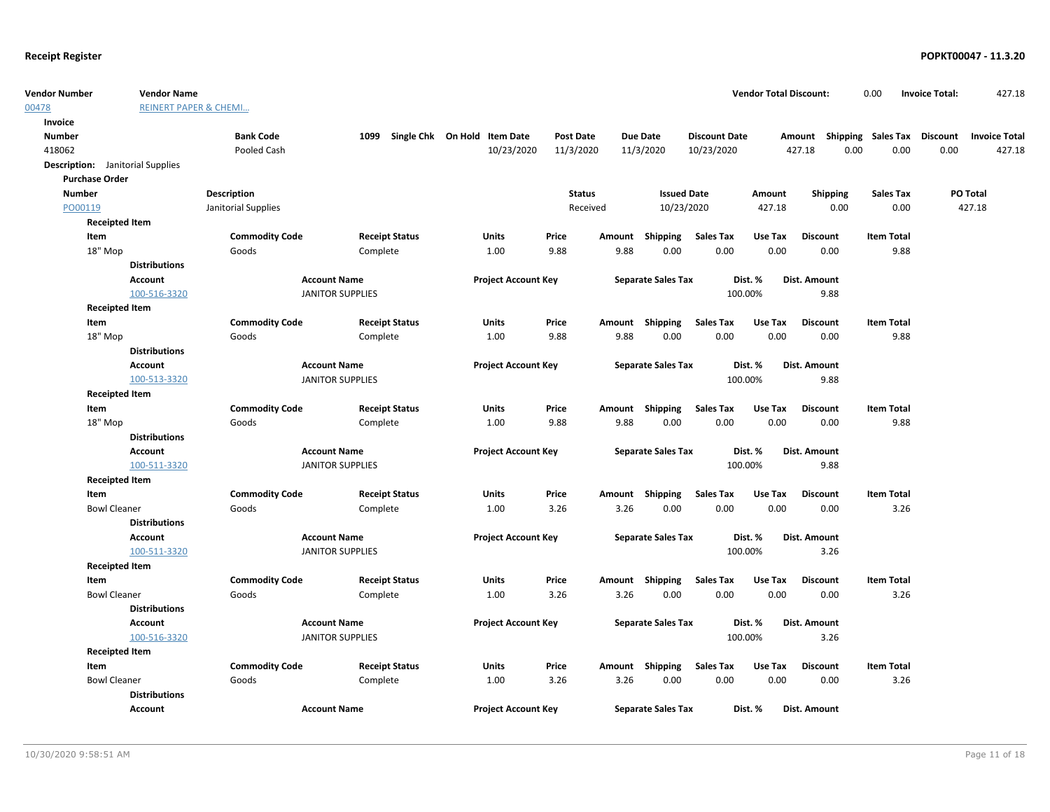| <b>Vendor Number</b>                    | <b>Vendor Name</b>               |                       |                         |                                   |                  |               |                           |                      | <b>Vendor Total Discount:</b> |                                    | 0.00              | <b>Invoice Total:</b> | 427.18               |
|-----------------------------------------|----------------------------------|-----------------------|-------------------------|-----------------------------------|------------------|---------------|---------------------------|----------------------|-------------------------------|------------------------------------|-------------------|-----------------------|----------------------|
| 00478                                   | <b>REINERT PAPER &amp; CHEMI</b> |                       |                         |                                   |                  |               |                           |                      |                               |                                    |                   |                       |                      |
| Invoice                                 |                                  |                       |                         |                                   |                  |               |                           |                      |                               |                                    |                   |                       |                      |
| <b>Number</b>                           |                                  | <b>Bank Code</b>      |                         | 1099 Single Chk On Hold Item Date | <b>Post Date</b> |               | <b>Due Date</b>           | <b>Discount Date</b> |                               | Amount Shipping Sales Tax Discount |                   |                       | <b>Invoice Total</b> |
| 418062                                  |                                  | Pooled Cash           |                         | 10/23/2020                        | 11/3/2020        |               | 11/3/2020                 | 10/23/2020           |                               | 427.18<br>0.00                     | 0.00              | 0.00                  | 427.18               |
| <b>Description:</b> Janitorial Supplies |                                  |                       |                         |                                   |                  |               |                           |                      |                               |                                    |                   |                       |                      |
| <b>Purchase Order</b>                   |                                  |                       |                         |                                   |                  |               |                           |                      |                               |                                    |                   |                       |                      |
| <b>Number</b>                           |                                  | Description           |                         |                                   |                  | <b>Status</b> | <b>Issued Date</b>        |                      | Amount                        | <b>Shipping</b>                    | <b>Sales Tax</b>  |                       | PO Total             |
| PO00119                                 |                                  | Janitorial Supplies   |                         |                                   |                  | Received      | 10/23/2020                |                      | 427.18                        | 0.00                               | 0.00              |                       | 427.18               |
| <b>Receipted Item</b>                   |                                  |                       |                         |                                   |                  |               |                           |                      |                               |                                    |                   |                       |                      |
| Item                                    |                                  | <b>Commodity Code</b> | <b>Receipt Status</b>   | Units                             | Price            | Amount        | <b>Shipping</b>           | <b>Sales Tax</b>     | Use Tax                       | <b>Discount</b>                    | <b>Item Total</b> |                       |                      |
| 18" Mop                                 |                                  | Goods                 | Complete                | 1.00                              | 9.88             | 9.88          | 0.00                      | 0.00                 | 0.00                          | 0.00                               | 9.88              |                       |                      |
|                                         | <b>Distributions</b>             |                       |                         |                                   |                  |               |                           |                      |                               |                                    |                   |                       |                      |
|                                         | Account                          |                       | <b>Account Name</b>     | <b>Project Account Key</b>        |                  |               | <b>Separate Sales Tax</b> |                      | Dist. %                       | Dist. Amount                       |                   |                       |                      |
|                                         | 100-516-3320                     |                       | <b>JANITOR SUPPLIES</b> |                                   |                  |               |                           |                      | 100.00%                       | 9.88                               |                   |                       |                      |
| <b>Receipted Item</b>                   |                                  |                       |                         |                                   |                  |               |                           |                      |                               |                                    |                   |                       |                      |
| Item                                    |                                  | <b>Commodity Code</b> | <b>Receipt Status</b>   | Units                             | Price            |               | Amount Shipping           | <b>Sales Tax</b>     | Use Tax                       | <b>Discount</b>                    | <b>Item Total</b> |                       |                      |
| 18" Mop                                 |                                  | Goods                 | Complete                | 1.00                              | 9.88             | 9.88          | 0.00                      | 0.00                 | 0.00                          | 0.00                               | 9.88              |                       |                      |
|                                         | <b>Distributions</b>             |                       |                         |                                   |                  |               |                           |                      |                               |                                    |                   |                       |                      |
|                                         | Account                          |                       | <b>Account Name</b>     | <b>Project Account Key</b>        |                  |               | <b>Separate Sales Tax</b> |                      | Dist. %                       | Dist. Amount                       |                   |                       |                      |
|                                         | 100-513-3320                     |                       | <b>JANITOR SUPPLIES</b> |                                   |                  |               |                           |                      | 100.00%                       | 9.88                               |                   |                       |                      |
| <b>Receipted Item</b>                   |                                  |                       |                         |                                   |                  |               |                           |                      |                               |                                    |                   |                       |                      |
| Item                                    |                                  | <b>Commodity Code</b> | <b>Receipt Status</b>   | <b>Units</b>                      | Price            |               | Amount Shipping           | Sales Tax            | Use Tax                       | <b>Discount</b>                    | <b>Item Total</b> |                       |                      |
| 18" Mop                                 |                                  | Goods                 | Complete                | 1.00                              | 9.88             | 9.88          | 0.00                      | 0.00                 | 0.00                          | 0.00                               | 9.88              |                       |                      |
|                                         | <b>Distributions</b>             |                       |                         |                                   |                  |               |                           |                      |                               |                                    |                   |                       |                      |
|                                         | Account                          |                       | <b>Account Name</b>     | <b>Project Account Key</b>        |                  |               | <b>Separate Sales Tax</b> |                      | Dist. %                       | Dist. Amount                       |                   |                       |                      |
|                                         | 100-511-3320                     |                       | <b>JANITOR SUPPLIES</b> |                                   |                  |               |                           |                      | 100.00%                       | 9.88                               |                   |                       |                      |
| <b>Receipted Item</b>                   |                                  |                       |                         |                                   |                  |               |                           |                      |                               |                                    |                   |                       |                      |
| Item                                    |                                  | <b>Commodity Code</b> | <b>Receipt Status</b>   | Units                             | Price            |               | Amount Shipping           | <b>Sales Tax</b>     | Use Tax                       | <b>Discount</b>                    | <b>Item Total</b> |                       |                      |
| <b>Bowl Cleaner</b>                     |                                  | Goods                 | Complete                | 1.00                              | 3.26             | 3.26          | 0.00                      | 0.00                 | 0.00                          | 0.00                               | 3.26              |                       |                      |
|                                         | <b>Distributions</b>             |                       |                         |                                   |                  |               |                           |                      |                               |                                    |                   |                       |                      |
|                                         | Account                          |                       | <b>Account Name</b>     | <b>Project Account Key</b>        |                  |               | <b>Separate Sales Tax</b> |                      | Dist. %                       | Dist. Amount                       |                   |                       |                      |
|                                         | 100-511-3320                     |                       | <b>JANITOR SUPPLIES</b> |                                   |                  |               |                           |                      | 100.00%                       | 3.26                               |                   |                       |                      |
| <b>Receipted Item</b>                   |                                  |                       |                         |                                   |                  |               |                           |                      |                               |                                    |                   |                       |                      |
| Item                                    |                                  | <b>Commodity Code</b> | <b>Receipt Status</b>   | Units                             | Price            |               | Amount Shipping           | Sales Tax            | Use Tax                       | <b>Discount</b>                    | <b>Item Total</b> |                       |                      |
| <b>Bowl Cleaner</b>                     |                                  | Goods                 | Complete                | 1.00                              | 3.26             | 3.26          | 0.00                      | 0.00                 | 0.00                          | 0.00                               | 3.26              |                       |                      |
|                                         | <b>Distributions</b>             |                       |                         |                                   |                  |               |                           |                      |                               |                                    |                   |                       |                      |
|                                         | Account                          |                       | <b>Account Name</b>     | <b>Project Account Key</b>        |                  |               | <b>Separate Sales Tax</b> |                      | Dist. %                       | Dist. Amount                       |                   |                       |                      |
|                                         | 100-516-3320                     |                       | <b>JANITOR SUPPLIES</b> |                                   |                  |               |                           |                      | 100.00%                       | 3.26                               |                   |                       |                      |
| <b>Receipted Item</b>                   |                                  |                       |                         |                                   |                  |               |                           |                      |                               |                                    |                   |                       |                      |
| Item                                    |                                  | <b>Commodity Code</b> | <b>Receipt Status</b>   | Units                             | Price            |               | Amount Shipping           | Sales Tax            | Use Tax                       | <b>Discount</b>                    | <b>Item Total</b> |                       |                      |
| <b>Bowl Cleaner</b>                     |                                  | Goods                 | Complete                | 1.00                              | 3.26             | 3.26          | 0.00                      | 0.00                 | 0.00                          | 0.00                               | 3.26              |                       |                      |
|                                         | <b>Distributions</b>             |                       |                         |                                   |                  |               |                           |                      |                               |                                    |                   |                       |                      |
|                                         | Account                          |                       | <b>Account Name</b>     | <b>Project Account Key</b>        |                  |               | <b>Separate Sales Tax</b> |                      | Dist. %                       | Dist. Amount                       |                   |                       |                      |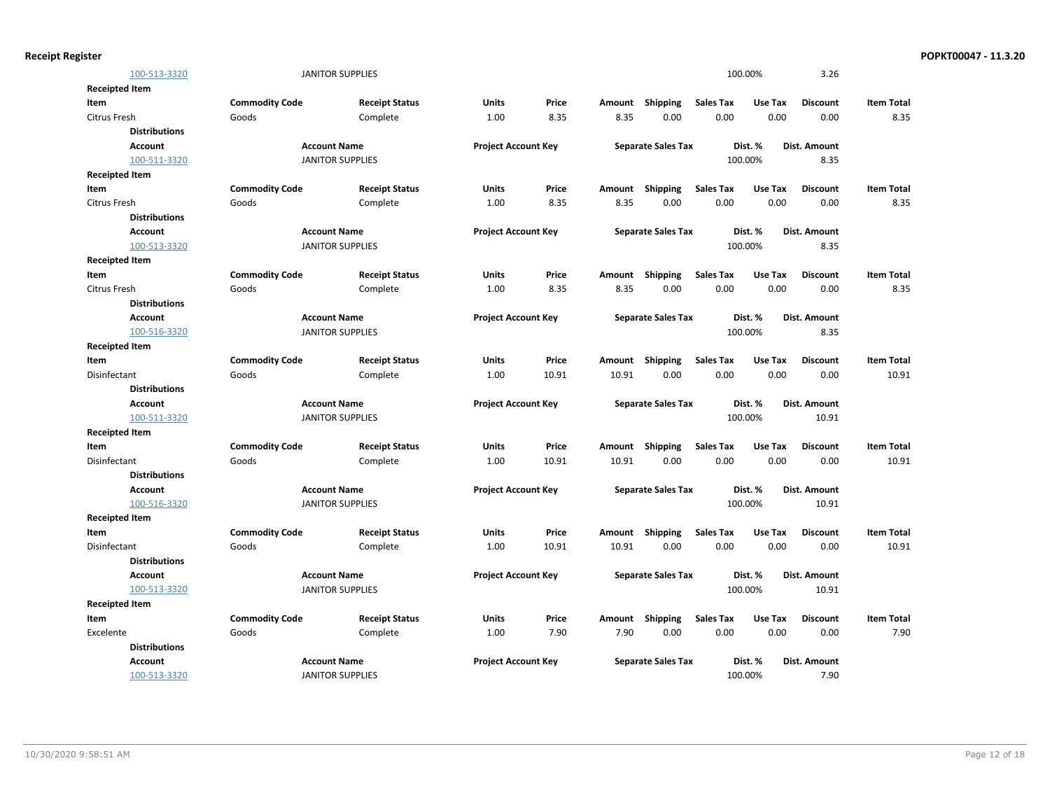|                       | 100-513-3320         |                       | <b>JANITOR SUPPLIES</b> |                            |       |        |                           |                  | 100.00% | 3.26                |                   |
|-----------------------|----------------------|-----------------------|-------------------------|----------------------------|-------|--------|---------------------------|------------------|---------|---------------------|-------------------|
| <b>Receipted Item</b> |                      |                       |                         |                            |       |        |                           |                  |         |                     |                   |
| Item                  |                      | <b>Commodity Code</b> | <b>Receipt Status</b>   | <b>Units</b>               | Price | Amount | <b>Shipping</b>           | <b>Sales Tax</b> | Use Tax | <b>Discount</b>     | <b>Item Total</b> |
| Citrus Fresh          |                      | Goods                 | Complete                | 1.00                       | 8.35  | 8.35   | 0.00                      | 0.00             | 0.00    | 0.00                | 8.35              |
|                       | <b>Distributions</b> |                       |                         |                            |       |        |                           |                  |         |                     |                   |
|                       | <b>Account</b>       |                       | <b>Account Name</b>     | <b>Project Account Key</b> |       |        | <b>Separate Sales Tax</b> |                  | Dist. % | Dist. Amount        |                   |
|                       | 100-511-3320         |                       | <b>JANITOR SUPPLIES</b> |                            |       |        |                           |                  | 100.00% | 8.35                |                   |
| <b>Receipted Item</b> |                      |                       |                         |                            |       |        |                           |                  |         |                     |                   |
| Item                  |                      | <b>Commodity Code</b> | <b>Receipt Status</b>   | <b>Units</b>               | Price | Amount | <b>Shipping</b>           | <b>Sales Tax</b> | Use Tax | <b>Discount</b>     | <b>Item Total</b> |
| Citrus Fresh          |                      | Goods                 | Complete                | 1.00                       | 8.35  | 8.35   | 0.00                      | 0.00             | 0.00    | 0.00                | 8.35              |
|                       | <b>Distributions</b> |                       |                         |                            |       |        |                           |                  |         |                     |                   |
|                       | <b>Account</b>       |                       | <b>Account Name</b>     | <b>Project Account Key</b> |       |        | <b>Separate Sales Tax</b> |                  | Dist. % | <b>Dist. Amount</b> |                   |
|                       | 100-513-3320         |                       | <b>JANITOR SUPPLIES</b> |                            |       |        |                           |                  | 100.00% | 8.35                |                   |
| <b>Receipted Item</b> |                      |                       |                         |                            |       |        |                           |                  |         |                     |                   |
| Item                  |                      | <b>Commodity Code</b> | <b>Receipt Status</b>   | Units                      | Price | Amount | <b>Shipping</b>           | <b>Sales Tax</b> | Use Tax | <b>Discount</b>     | <b>Item Total</b> |
| <b>Citrus Fresh</b>   |                      | Goods                 | Complete                | 1.00                       | 8.35  | 8.35   | 0.00                      | 0.00             | 0.00    | 0.00                | 8.35              |
|                       | <b>Distributions</b> |                       |                         |                            |       |        |                           |                  |         |                     |                   |
|                       | <b>Account</b>       |                       | <b>Account Name</b>     | <b>Project Account Key</b> |       |        | <b>Separate Sales Tax</b> |                  | Dist. % | Dist. Amount        |                   |
|                       | 100-516-3320         |                       | <b>JANITOR SUPPLIES</b> |                            |       |        |                           |                  | 100.00% | 8.35                |                   |
| <b>Receipted Item</b> |                      |                       |                         |                            |       |        |                           |                  |         |                     |                   |
| Item                  |                      | <b>Commodity Code</b> | <b>Receipt Status</b>   | Units                      | Price | Amount | Shipping                  | <b>Sales Tax</b> | Use Tax | <b>Discount</b>     | <b>Item Total</b> |
| Disinfectant          |                      | Goods                 | Complete                | 1.00                       | 10.91 | 10.91  | 0.00                      | 0.00             | 0.00    | 0.00                | 10.91             |
|                       | <b>Distributions</b> |                       |                         |                            |       |        |                           |                  |         |                     |                   |
|                       | <b>Account</b>       |                       | <b>Account Name</b>     | <b>Project Account Key</b> |       |        | <b>Separate Sales Tax</b> |                  | Dist. % | Dist. Amount        |                   |
|                       | 100-511-3320         |                       | <b>JANITOR SUPPLIES</b> |                            |       |        |                           |                  | 100.00% | 10.91               |                   |
| <b>Receipted Item</b> |                      |                       |                         |                            |       |        |                           |                  |         |                     |                   |
| Item                  |                      | <b>Commodity Code</b> | <b>Receipt Status</b>   | Units                      | Price | Amount | <b>Shipping</b>           | <b>Sales Tax</b> | Use Tax | <b>Discount</b>     | <b>Item Total</b> |
| Disinfectant          |                      | Goods                 | Complete                | 1.00                       | 10.91 | 10.91  | 0.00                      | 0.00             | 0.00    | 0.00                | 10.91             |
|                       | <b>Distributions</b> |                       |                         |                            |       |        |                           |                  |         |                     |                   |
|                       | <b>Account</b>       |                       | <b>Account Name</b>     | <b>Project Account Key</b> |       |        | <b>Separate Sales Tax</b> |                  | Dist. % | <b>Dist. Amount</b> |                   |
|                       | 100-516-3320         |                       | <b>JANITOR SUPPLIES</b> |                            |       |        |                           |                  | 100.00% | 10.91               |                   |
| <b>Receipted Item</b> |                      |                       |                         |                            |       |        |                           |                  |         |                     |                   |
| Item                  |                      | <b>Commodity Code</b> | <b>Receipt Status</b>   | <b>Units</b>               | Price | Amount | Shipping                  | <b>Sales Tax</b> | Use Tax | <b>Discount</b>     | <b>Item Total</b> |
| Disinfectant          |                      | Goods                 | Complete                | 1.00                       | 10.91 | 10.91  | 0.00                      | 0.00             | 0.00    | 0.00                | 10.91             |
|                       | <b>Distributions</b> |                       |                         |                            |       |        |                           |                  |         |                     |                   |
|                       | <b>Account</b>       |                       | <b>Account Name</b>     | <b>Project Account Key</b> |       |        | <b>Separate Sales Tax</b> |                  | Dist. % | Dist. Amount        |                   |
|                       | 100-513-3320         |                       | <b>JANITOR SUPPLIES</b> |                            |       |        |                           |                  | 100.00% | 10.91               |                   |
| <b>Receipted Item</b> |                      |                       |                         |                            |       |        |                           |                  |         |                     |                   |
| Item                  |                      | <b>Commodity Code</b> | <b>Receipt Status</b>   | Units                      | Price | Amount | Shipping                  | <b>Sales Tax</b> | Use Tax | <b>Discount</b>     | <b>Item Total</b> |
| Excelente             |                      | Goods                 | Complete                | 1.00                       | 7.90  | 7.90   | 0.00                      | 0.00             | 0.00    | 0.00                | 7.90              |
|                       | <b>Distributions</b> |                       |                         |                            |       |        |                           |                  |         |                     |                   |
|                       | Account              |                       | <b>Account Name</b>     | <b>Project Account Key</b> |       |        | <b>Separate Sales Tax</b> |                  | Dist. % | Dist. Amount        |                   |
|                       |                      |                       |                         |                            |       |        |                           |                  |         |                     |                   |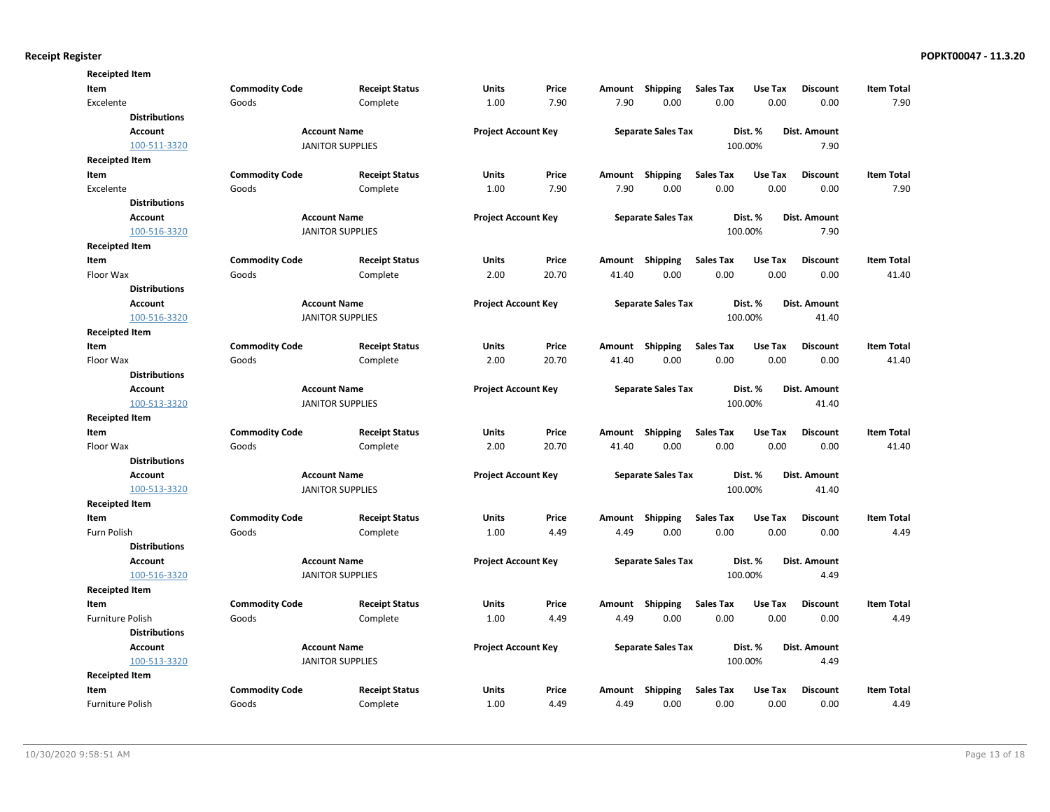| <b>Receipted Item</b>   |                       |                            |                            |                            |                           |                                      |                  |              |                     |                   |
|-------------------------|-----------------------|----------------------------|----------------------------|----------------------------|---------------------------|--------------------------------------|------------------|--------------|---------------------|-------------------|
| Item                    | <b>Commodity Code</b> | <b>Receipt Status</b>      | Units                      | Price                      | Amount                    | Shipping                             | <b>Sales Tax</b> | Use Tax      | <b>Discount</b>     | <b>Item Total</b> |
| Excelente               | Goods                 | Complete                   | 1.00                       | 7.90                       | 7.90                      | 0.00                                 | 0.00             | 0.00         | 0.00                | 7.90              |
| <b>Distributions</b>    |                       |                            |                            |                            |                           |                                      |                  |              |                     |                   |
| <b>Account</b>          |                       | <b>Account Name</b>        |                            | <b>Project Account Key</b> |                           | <b>Separate Sales Tax</b>            |                  | Dist. %      | Dist. Amount        |                   |
| 100-511-3320            |                       | <b>JANITOR SUPPLIES</b>    |                            |                            |                           |                                      |                  | 100.00%      | 7.90                |                   |
| <b>Receipted Item</b>   |                       |                            |                            |                            |                           |                                      |                  |              |                     |                   |
| Item                    | <b>Commodity Code</b> | <b>Receipt Status</b>      | Units                      | Price                      | Amount                    | <b>Shipping</b>                      | <b>Sales Tax</b> | Use Tax      | <b>Discount</b>     | <b>Item Total</b> |
| Excelente               | Goods                 | Complete                   | 1.00                       | 7.90                       | 7.90                      | 0.00                                 | 0.00             | 0.00         | 0.00                | 7.90              |
| <b>Distributions</b>    |                       |                            |                            |                            |                           |                                      |                  |              |                     |                   |
| <b>Account</b>          |                       | <b>Account Name</b>        | <b>Project Account Key</b> |                            |                           | <b>Separate Sales Tax</b>            |                  | Dist. %      | <b>Dist. Amount</b> |                   |
| 100-516-3320            |                       | <b>JANITOR SUPPLIES</b>    |                            |                            |                           |                                      |                  | 100.00%      | 7.90                |                   |
| <b>Receipted Item</b>   |                       |                            |                            |                            |                           |                                      |                  |              |                     |                   |
| Item                    | <b>Commodity Code</b> | <b>Receipt Status</b>      | Units                      | Price                      | Amount                    | Shipping                             | <b>Sales Tax</b> | Use Tax      | <b>Discount</b>     | <b>Item Total</b> |
| Floor Wax               | Goods                 | Complete                   | 2.00                       | 20.70                      | 41.40                     | 0.00                                 | 0.00             | 0.00         | 0.00                | 41.40             |
| <b>Distributions</b>    |                       |                            |                            |                            |                           |                                      |                  |              |                     |                   |
| <b>Account</b>          | <b>Account Name</b>   | <b>Project Account Key</b> |                            |                            | <b>Separate Sales Tax</b> |                                      | Dist. %          | Dist. Amount |                     |                   |
| 100-516-3320            |                       | <b>JANITOR SUPPLIES</b>    |                            |                            |                           |                                      |                  | 100.00%      | 41.40               |                   |
| <b>Receipted Item</b>   |                       |                            |                            |                            |                           |                                      |                  |              |                     |                   |
| Item                    | <b>Commodity Code</b> | <b>Receipt Status</b>      | <b>Units</b>               | Price                      | Amount                    | Shipping                             | <b>Sales Tax</b> | Use Tax      | <b>Discount</b>     | <b>Item Total</b> |
| Floor Wax               | Goods                 | Complete                   | 2.00                       | 20.70                      | 41.40                     | 0.00                                 | 0.00             | 0.00         | 0.00                | 41.40             |
| <b>Distributions</b>    |                       |                            |                            |                            |                           |                                      |                  |              |                     |                   |
| <b>Account</b>          |                       | <b>Account Name</b>        | <b>Project Account Key</b> |                            |                           | <b>Separate Sales Tax</b>            |                  | Dist. %      | Dist. Amount        |                   |
| 100-513-3320            |                       | <b>JANITOR SUPPLIES</b>    |                            |                            |                           |                                      |                  | 100.00%      | 41.40               |                   |
| <b>Receipted Item</b>   |                       |                            |                            |                            |                           |                                      |                  |              |                     |                   |
| Item                    | <b>Commodity Code</b> | <b>Receipt Status</b>      | Units                      | Price                      | Amount                    | <b>Shipping</b>                      | <b>Sales Tax</b> | Use Tax      | <b>Discount</b>     | <b>Item Total</b> |
| Floor Wax               | Goods                 | Complete                   | 2.00                       | 20.70                      | 41.40                     | 0.00                                 | 0.00             | 0.00         | 0.00                | 41.40             |
| <b>Distributions</b>    |                       |                            |                            |                            |                           |                                      |                  |              |                     |                   |
| <b>Account</b>          |                       | <b>Account Name</b>        | <b>Project Account Key</b> |                            |                           | <b>Separate Sales Tax</b><br>Dist. % |                  |              | <b>Dist. Amount</b> |                   |
| 100-513-3320            |                       | <b>JANITOR SUPPLIES</b>    |                            |                            |                           |                                      |                  | 100.00%      | 41.40               |                   |
| <b>Receipted Item</b>   |                       |                            |                            |                            |                           |                                      |                  |              |                     |                   |
| Item                    | <b>Commodity Code</b> | <b>Receipt Status</b>      | Units                      | Price                      | Amount                    | Shipping                             | <b>Sales Tax</b> | Use Tax      | <b>Discount</b>     | <b>Item Total</b> |
| Furn Polish             | Goods                 | Complete                   | 1.00                       | 4.49                       | 4.49                      | 0.00                                 | 0.00             | 0.00         | 0.00                | 4.49              |
| <b>Distributions</b>    |                       |                            |                            |                            |                           |                                      |                  |              |                     |                   |
| <b>Account</b>          |                       | <b>Account Name</b>        | <b>Project Account Key</b> |                            |                           | <b>Separate Sales Tax</b>            |                  | Dist. %      | Dist. Amount        |                   |
| 100-516-3320            |                       | <b>JANITOR SUPPLIES</b>    |                            |                            |                           |                                      |                  | 100.00%      | 4.49                |                   |
| <b>Receipted Item</b>   |                       |                            |                            |                            |                           |                                      |                  |              |                     |                   |
| Item                    | <b>Commodity Code</b> | <b>Receipt Status</b>      | Units                      | Price                      | Amount                    | Shipping                             | <b>Sales Tax</b> | Use Tax      | <b>Discount</b>     | <b>Item Total</b> |
| <b>Furniture Polish</b> | Goods                 | Complete                   | 1.00                       | 4.49                       | 4.49                      | 0.00                                 | 0.00             | 0.00         | 0.00                | 4.49              |
| <b>Distributions</b>    |                       |                            |                            |                            |                           |                                      |                  |              |                     |                   |
| <b>Account</b>          |                       | <b>Account Name</b>        | <b>Project Account Key</b> |                            |                           | <b>Separate Sales Tax</b>            |                  | Dist. %      | Dist. Amount        |                   |
| 100-513-3320            |                       | <b>JANITOR SUPPLIES</b>    |                            |                            |                           |                                      | 100.00%          |              | 4.49                |                   |
| <b>Receipted Item</b>   |                       |                            |                            |                            |                           |                                      |                  |              |                     |                   |
| Item                    | <b>Commodity Code</b> | <b>Receipt Status</b>      | <b>Units</b>               | Price                      | Amount                    | Shipping                             | <b>Sales Tax</b> | Use Tax      | <b>Discount</b>     | <b>Item Total</b> |
| <b>Furniture Polish</b> | Goods                 | Complete                   | 1.00                       | 4.49                       | 4.49                      | 0.00                                 | 0.00             | 0.00         | 0.00                | 4.49              |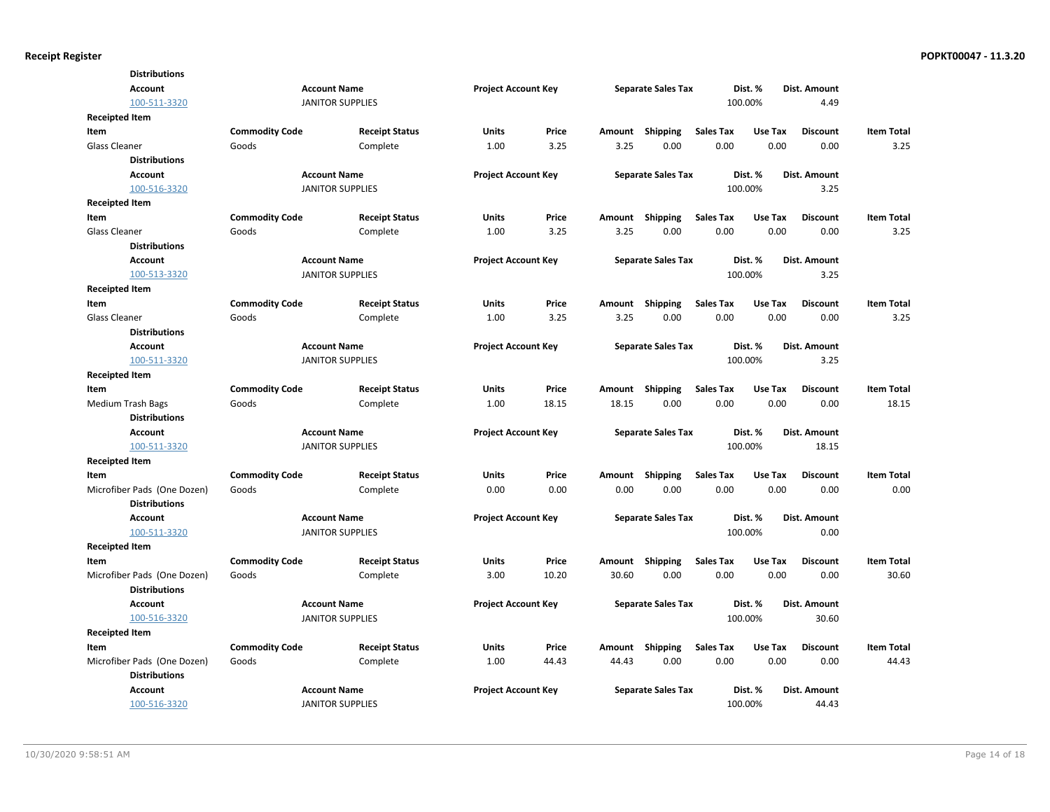| <b>Distributions</b>        |                         |                         |                            |       |        |                                      |                  |         |                 |                   |
|-----------------------------|-------------------------|-------------------------|----------------------------|-------|--------|--------------------------------------|------------------|---------|-----------------|-------------------|
| <b>Account</b>              |                         | <b>Account Name</b>     | <b>Project Account Key</b> |       |        | <b>Separate Sales Tax</b>            |                  | Dist. % | Dist. Amount    |                   |
| 100-511-3320                |                         | <b>JANITOR SUPPLIES</b> |                            |       |        |                                      | 100.00%          |         | 4.49            |                   |
| Receipted Item              |                         |                         |                            |       |        |                                      |                  |         |                 |                   |
| <b>Item</b>                 | <b>Commodity Code</b>   | <b>Receipt Status</b>   | <b>Units</b>               | Price |        | Amount Shipping                      | <b>Sales Tax</b> | Use Tax | <b>Discount</b> | <b>Item Total</b> |
| <b>Glass Cleaner</b>        | Goods                   | Complete                | 1.00                       | 3.25  | 3.25   | 0.00                                 | 0.00             | 0.00    | 0.00            | 3.25              |
| <b>Distributions</b>        |                         |                         |                            |       |        |                                      |                  |         |                 |                   |
| <b>Account</b>              |                         | <b>Account Name</b>     | <b>Project Account Key</b> |       |        | <b>Separate Sales Tax</b>            |                  | Dist. % | Dist. Amount    |                   |
| 100-516-3320                |                         | <b>JANITOR SUPPLIES</b> |                            |       |        |                                      |                  | 100.00% | 3.25            |                   |
| Receipted Item              |                         |                         |                            |       |        |                                      |                  |         |                 |                   |
| <b>Item</b>                 | <b>Commodity Code</b>   | <b>Receipt Status</b>   | <b>Units</b>               | Price |        | Amount Shipping                      | <b>Sales Tax</b> | Use Tax | <b>Discount</b> | <b>Item Total</b> |
| <b>Glass Cleaner</b>        | Goods                   | Complete                | 1.00                       | 3.25  | 3.25   | 0.00                                 | 0.00             | 0.00    | 0.00            | 3.25              |
| <b>Distributions</b>        |                         |                         |                            |       |        |                                      |                  |         |                 |                   |
| <b>Account</b>              |                         | <b>Account Name</b>     | <b>Project Account Key</b> |       |        | <b>Separate Sales Tax</b>            |                  | Dist. % | Dist. Amount    |                   |
| 100-513-3320                | <b>JANITOR SUPPLIES</b> |                         |                            |       |        |                                      |                  | 100.00% | 3.25            |                   |
| Receipted Item              |                         |                         |                            |       |        |                                      |                  |         |                 |                   |
| <b>Item</b>                 | <b>Commodity Code</b>   | <b>Receipt Status</b>   | <b>Units</b>               | Price |        | Amount Shipping                      | <b>Sales Tax</b> | Use Tax | <b>Discount</b> | <b>Item Total</b> |
| <b>Glass Cleaner</b>        | Goods                   | Complete                | 1.00                       | 3.25  | 3.25   | 0.00                                 | 0.00             | 0.00    | 0.00            | 3.25              |
| <b>Distributions</b>        |                         |                         |                            |       |        |                                      |                  |         |                 |                   |
| <b>Account</b>              |                         | <b>Account Name</b>     | <b>Project Account Key</b> |       |        | <b>Separate Sales Tax</b>            |                  | Dist. % | Dist. Amount    |                   |
| 100-511-3320                | <b>JANITOR SUPPLIES</b> |                         |                            |       |        |                                      |                  | 100.00% | 3.25            |                   |
| <b>Receipted Item</b>       |                         |                         |                            |       |        |                                      |                  |         |                 |                   |
| Item                        | <b>Commodity Code</b>   | <b>Receipt Status</b>   | <b>Units</b>               | Price |        | Amount Shipping                      | <b>Sales Tax</b> | Use Tax | <b>Discount</b> | <b>Item Total</b> |
| <b>Medium Trash Bags</b>    | Goods                   | Complete                | 1.00                       | 18.15 | 18.15  | 0.00                                 | 0.00             | 0.00    | 0.00            | 18.15             |
| <b>Distributions</b>        |                         |                         |                            |       |        |                                      |                  |         |                 |                   |
| <b>Account</b>              |                         | <b>Account Name</b>     | <b>Project Account Key</b> |       |        | <b>Separate Sales Tax</b>            |                  | Dist. % | Dist. Amount    |                   |
| 100-511-3320                |                         | <b>JANITOR SUPPLIES</b> |                            |       |        |                                      |                  | 100.00% | 18.15           |                   |
| <b>Receipted Item</b>       |                         |                         |                            |       |        |                                      |                  |         |                 |                   |
| Item                        | <b>Commodity Code</b>   | <b>Receipt Status</b>   | <b>Units</b>               | Price | Amount | Shipping                             | <b>Sales Tax</b> | Use Tax | <b>Discount</b> | <b>Item Total</b> |
| Microfiber Pads (One Dozen) | Goods                   | Complete                | 0.00                       | 0.00  | 0.00   | 0.00                                 | 0.00             | 0.00    | 0.00            | 0.00              |
| <b>Distributions</b>        |                         |                         |                            |       |        |                                      |                  |         |                 |                   |
| Account                     |                         | <b>Account Name</b>     | <b>Project Account Key</b> |       |        | <b>Separate Sales Tax</b><br>Dist. % |                  |         | Dist. Amount    |                   |
| 100-511-3320                |                         | <b>JANITOR SUPPLIES</b> |                            |       |        |                                      |                  | 100.00% | 0.00            |                   |
| <b>Receipted Item</b>       |                         |                         |                            |       |        |                                      |                  |         |                 |                   |
| Item                        | <b>Commodity Code</b>   | <b>Receipt Status</b>   | <b>Units</b>               | Price | Amount | Shipping                             | <b>Sales Tax</b> | Use Tax | <b>Discount</b> | <b>Item Total</b> |
| Microfiber Pads (One Dozen) | Goods                   | Complete                | 3.00                       | 10.20 | 30.60  | 0.00                                 | 0.00             | 0.00    | 0.00            | 30.60             |
| <b>Distributions</b>        |                         |                         |                            |       |        |                                      |                  |         |                 |                   |
| Account                     |                         | <b>Account Name</b>     | <b>Project Account Key</b> |       |        | <b>Separate Sales Tax</b>            |                  | Dist. % | Dist. Amount    |                   |
| 100-516-3320                |                         | <b>JANITOR SUPPLIES</b> |                            |       |        |                                      |                  | 100.00% | 30.60           |                   |
| <b>Receipted Item</b>       |                         |                         |                            |       |        |                                      |                  |         |                 |                   |
| Item                        | <b>Commodity Code</b>   | <b>Receipt Status</b>   | <b>Units</b>               | Price | Amount | Shipping                             | <b>Sales Tax</b> | Use Tax | <b>Discount</b> | <b>Item Total</b> |
| Microfiber Pads (One Dozen) | Goods                   | Complete                | 1.00                       | 44.43 | 44.43  | 0.00                                 | 0.00             | 0.00    | 0.00            | 44.43             |
| <b>Distributions</b>        |                         |                         |                            |       |        |                                      |                  |         |                 |                   |
| Account                     |                         | <b>Account Name</b>     | <b>Project Account Key</b> |       |        | <b>Separate Sales Tax</b>            |                  | Dist. % | Dist. Amount    |                   |
| 100-516-3320                |                         | <b>JANITOR SUPPLIES</b> |                            |       |        |                                      |                  | 100.00% | 44.43           |                   |
|                             |                         |                         |                            |       |        |                                      |                  |         |                 |                   |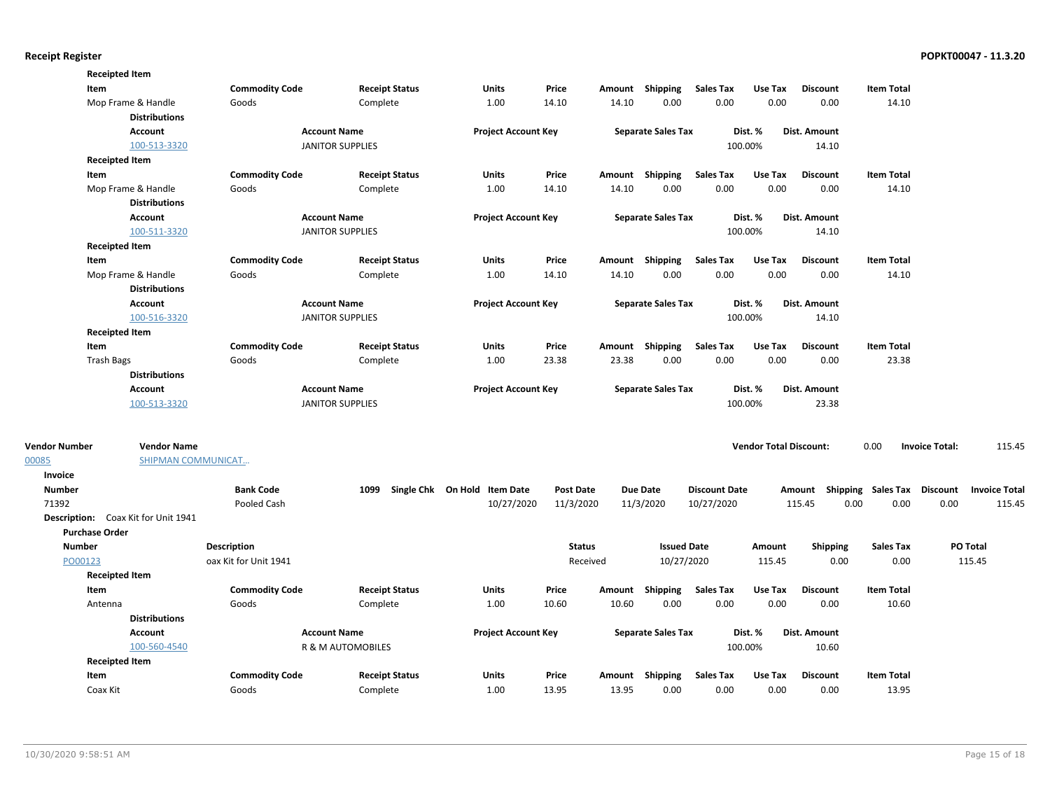|                       | <b>Receipted Item</b>                      |                       |                         |                              |                  |       |                           |                      |                               |                                    |                   |                       |                      |
|-----------------------|--------------------------------------------|-----------------------|-------------------------|------------------------------|------------------|-------|---------------------------|----------------------|-------------------------------|------------------------------------|-------------------|-----------------------|----------------------|
| Item                  |                                            | <b>Commodity Code</b> | <b>Receipt Status</b>   | Units                        | Price            |       | Amount Shipping           | <b>Sales Tax</b>     | Use Tax                       | <b>Discount</b>                    | <b>Item Total</b> |                       |                      |
|                       | Mop Frame & Handle<br><b>Distributions</b> | Goods                 | Complete                | 1.00                         | 14.10            | 14.10 | 0.00                      | 0.00                 | 0.00                          | 0.00                               | 14.10             |                       |                      |
|                       | Account                                    |                       | <b>Account Name</b>     | <b>Project Account Key</b>   |                  |       | <b>Separate Sales Tax</b> |                      | Dist. %                       | Dist. Amount                       |                   |                       |                      |
|                       | 100-513-3320                               |                       | <b>JANITOR SUPPLIES</b> |                              |                  |       |                           |                      | 100.00%                       | 14.10                              |                   |                       |                      |
|                       | <b>Receipted Item</b>                      |                       |                         |                              |                  |       |                           |                      |                               |                                    |                   |                       |                      |
| Item                  |                                            | <b>Commodity Code</b> | <b>Receipt Status</b>   | Units                        | Price            |       | Amount Shipping           | <b>Sales Tax</b>     | Use Tax                       | <b>Discount</b>                    | <b>Item Total</b> |                       |                      |
|                       | Mop Frame & Handle                         | Goods                 | Complete                | 1.00                         | 14.10            | 14.10 | 0.00                      | 0.00                 | 0.00                          | 0.00                               | 14.10             |                       |                      |
|                       | <b>Distributions</b>                       |                       |                         |                              |                  |       |                           |                      |                               |                                    |                   |                       |                      |
|                       | Account                                    |                       | <b>Account Name</b>     | <b>Project Account Key</b>   |                  |       | <b>Separate Sales Tax</b> |                      | Dist. %                       | Dist. Amount                       |                   |                       |                      |
|                       | 100-511-3320                               |                       | <b>JANITOR SUPPLIES</b> |                              |                  |       |                           |                      | 100.00%                       | 14.10                              |                   |                       |                      |
|                       | <b>Receipted Item</b>                      |                       |                         |                              |                  |       |                           |                      |                               |                                    |                   |                       |                      |
| Item                  |                                            | <b>Commodity Code</b> | <b>Receipt Status</b>   | Units                        | Price            |       | Amount Shipping           | <b>Sales Tax</b>     | Use Tax                       | <b>Discount</b>                    | <b>Item Total</b> |                       |                      |
|                       | Mop Frame & Handle                         | Goods                 | Complete                | 1.00                         | 14.10            | 14.10 | 0.00                      | 0.00                 | 0.00                          | 0.00                               | 14.10             |                       |                      |
|                       | <b>Distributions</b>                       |                       |                         |                              |                  |       |                           |                      |                               |                                    |                   |                       |                      |
|                       | Account                                    |                       | <b>Account Name</b>     | <b>Project Account Key</b>   |                  |       | <b>Separate Sales Tax</b> |                      | Dist. %                       | Dist. Amount                       |                   |                       |                      |
|                       | 100-516-3320                               |                       | <b>JANITOR SUPPLIES</b> |                              |                  |       |                           |                      | 100.00%                       | 14.10                              |                   |                       |                      |
|                       | <b>Receipted Item</b>                      |                       |                         |                              |                  |       |                           |                      |                               |                                    |                   |                       |                      |
| Item                  |                                            | <b>Commodity Code</b> | <b>Receipt Status</b>   | Units                        | Price            |       | Amount Shipping           | Sales Tax            | Use Tax                       | <b>Discount</b>                    | <b>Item Total</b> |                       |                      |
| <b>Trash Bags</b>     |                                            | Goods                 | Complete                | 1.00                         | 23.38            | 23.38 | 0.00                      | 0.00                 | 0.00                          | 0.00                               | 23.38             |                       |                      |
|                       | <b>Distributions</b>                       |                       |                         |                              |                  |       |                           |                      |                               |                                    |                   |                       |                      |
|                       | Account                                    |                       | <b>Account Name</b>     | <b>Project Account Key</b>   |                  |       | <b>Separate Sales Tax</b> |                      | Dist. %                       | Dist. Amount                       |                   |                       |                      |
|                       | 100-513-3320                               |                       | <b>JANITOR SUPPLIES</b> |                              |                  |       |                           |                      | 100.00%                       | 23.38                              |                   |                       |                      |
| <b>Vendor Number</b>  | <b>Vendor Name</b>                         |                       |                         |                              |                  |       |                           |                      | <b>Vendor Total Discount:</b> |                                    | 0.00              | <b>Invoice Total:</b> | 115.45               |
| 00085                 | SHIPMAN COMMUNICAT                         |                       |                         |                              |                  |       |                           |                      |                               |                                    |                   |                       |                      |
| Invoice               |                                            |                       |                         |                              |                  |       |                           |                      |                               |                                    |                   |                       |                      |
| <b>Number</b>         |                                            | <b>Bank Code</b>      | 1099                    | Single Chk On Hold Item Date | <b>Post Date</b> |       | <b>Due Date</b>           | <b>Discount Date</b> |                               | Amount Shipping Sales Tax Discount |                   |                       | <b>Invoice Total</b> |
| 71392                 |                                            | Pooled Cash           |                         | 10/27/2020                   | 11/3/2020        |       | 11/3/2020                 | 10/27/2020           |                               | 115.45                             | 0.00<br>0.00      | 0.00                  | 115.45               |
|                       | Description: Coax Kit for Unit 1941        |                       |                         |                              |                  |       |                           |                      |                               |                                    |                   |                       |                      |
| <b>Purchase Order</b> |                                            |                       |                         |                              |                  |       |                           |                      |                               |                                    |                   |                       |                      |
| <b>Number</b>         |                                            | <b>Description</b>    |                         |                              | <b>Status</b>    |       | <b>Issued Date</b>        |                      | Amount                        | <b>Shipping</b>                    | <b>Sales Tax</b>  | PO Total              |                      |
| PO00123               |                                            | oax Kit for Unit 1941 |                         |                              | Received         |       | 10/27/2020                |                      | 115.45                        | 0.00                               | 0.00              |                       | 115.45               |
|                       | <b>Receipted Item</b>                      |                       |                         |                              |                  |       |                           |                      |                               |                                    |                   |                       |                      |
| Item                  |                                            | <b>Commodity Code</b> | <b>Receipt Status</b>   | Units                        | Price            |       | Amount Shipping           | <b>Sales Tax</b>     | Use Tax                       | <b>Discount</b>                    | <b>Item Total</b> |                       |                      |
| Antenna               |                                            | Goods                 | Complete                | 1.00                         | 10.60            | 10.60 | 0.00                      | 0.00                 | 0.00                          | 0.00                               | 10.60             |                       |                      |
|                       | <b>Distributions</b>                       |                       |                         |                              |                  |       |                           |                      |                               |                                    |                   |                       |                      |
|                       | Account                                    |                       | <b>Account Name</b>     | <b>Project Account Key</b>   |                  |       | <b>Separate Sales Tax</b> |                      | Dist. %                       | Dist. Amount                       |                   |                       |                      |
|                       | 100-560-4540                               |                       | R & M AUTOMOBILES       |                              |                  |       |                           |                      | 100.00%                       | 10.60                              |                   |                       |                      |
|                       | <b>Receipted Item</b>                      |                       |                         |                              |                  |       |                           |                      |                               |                                    |                   |                       |                      |
| Item                  |                                            | <b>Commodity Code</b> | <b>Receipt Status</b>   | Units                        | Price            |       | Amount Shipping           | <b>Sales Tax</b>     | Use Tax                       | <b>Discount</b>                    | Item Total        |                       |                      |
| Coax Kit              |                                            | Goods                 | Complete                | 1.00                         | 13.95            | 13.95 | 0.00                      | 0.00                 | 0.00                          | 0.00                               | 13.95             |                       |                      |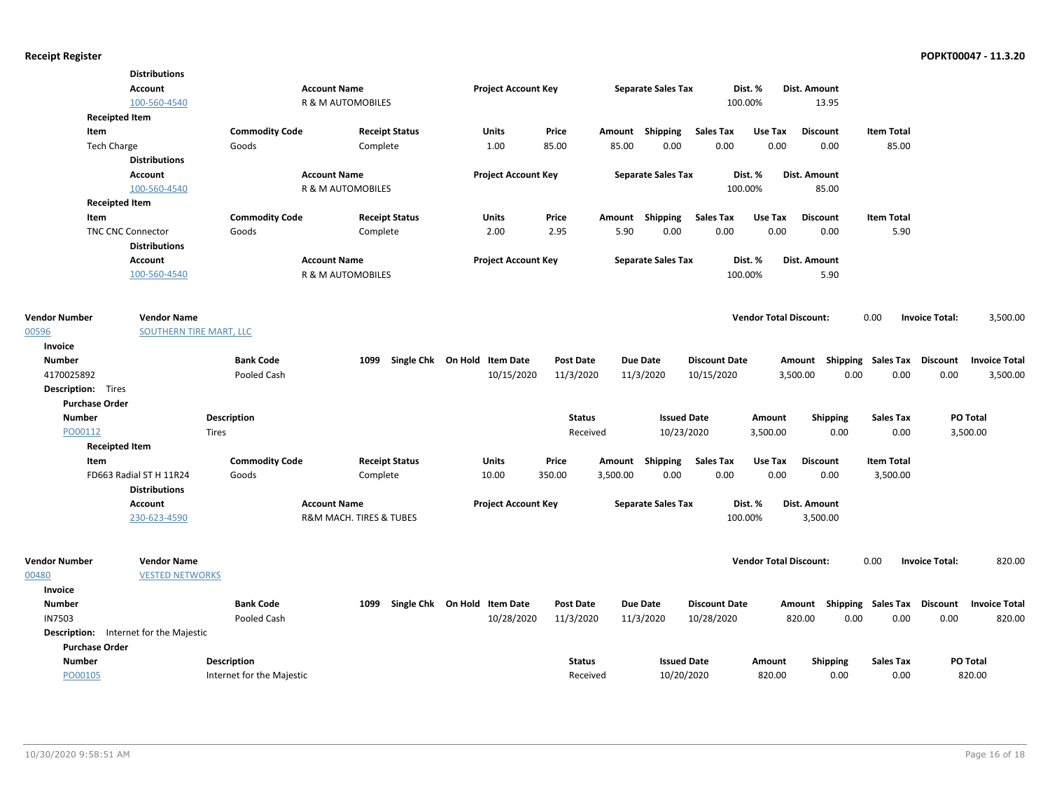|                           | <b>Distributions</b>                          |                           |                              |                                      |                            |                  |          |                           |                      |                               |                  |                                                  |                       |                      |
|---------------------------|-----------------------------------------------|---------------------------|------------------------------|--------------------------------------|----------------------------|------------------|----------|---------------------------|----------------------|-------------------------------|------------------|--------------------------------------------------|-----------------------|----------------------|
|                           | Account                                       |                           | <b>Account Name</b>          |                                      | <b>Project Account Key</b> |                  |          | <b>Separate Sales Tax</b> |                      | Dist. %                       | Dist. Amount     |                                                  |                       |                      |
|                           | 100-560-4540                                  |                           | <b>R &amp; M AUTOMOBILES</b> |                                      |                            |                  |          |                           |                      | 100.00%                       | 13.95            |                                                  |                       |                      |
| <b>Receipted Item</b>     |                                               |                           |                              |                                      |                            |                  |          |                           |                      |                               |                  |                                                  |                       |                      |
| Item                      |                                               | <b>Commodity Code</b>     |                              | <b>Receipt Status</b>                | Units                      | Price            |          | Amount Shipping           | <b>Sales Tax</b>     | Use Tax                       | <b>Discount</b>  | <b>Item Total</b>                                |                       |                      |
| <b>Tech Charge</b>        |                                               | Goods                     |                              | Complete                             | 1.00                       | 85.00            | 85.00    | 0.00                      | 0.00                 | 0.00                          | 0.00             | 85.00                                            |                       |                      |
|                           | <b>Distributions</b>                          |                           |                              |                                      |                            |                  |          |                           |                      |                               |                  |                                                  |                       |                      |
|                           | Account                                       |                           | <b>Account Name</b>          |                                      | <b>Project Account Key</b> |                  |          | <b>Separate Sales Tax</b> |                      | Dist. %                       | Dist. Amount     |                                                  |                       |                      |
|                           | 100-560-4540                                  |                           | R & M AUTOMOBILES            |                                      |                            |                  |          |                           |                      | 100.00%                       | 85.00            |                                                  |                       |                      |
| <b>Receipted Item</b>     |                                               |                           |                              |                                      |                            |                  |          |                           |                      |                               |                  |                                                  |                       |                      |
| Item                      |                                               | <b>Commodity Code</b>     |                              | <b>Receipt Status</b>                | <b>Units</b>               | Price            |          | Amount Shipping           | <b>Sales Tax</b>     | Use Tax                       | <b>Discount</b>  | <b>Item Total</b>                                |                       |                      |
|                           | <b>TNC CNC Connector</b>                      | Goods                     |                              | Complete                             | 2.00                       | 2.95             | 5.90     | 0.00                      | 0.00                 | 0.00                          | 0.00             | 5.90                                             |                       |                      |
|                           | <b>Distributions</b>                          |                           |                              |                                      |                            |                  |          |                           |                      |                               |                  |                                                  |                       |                      |
|                           | Account                                       |                           | <b>Account Name</b>          |                                      | <b>Project Account Key</b> |                  |          | <b>Separate Sales Tax</b> |                      | Dist. %                       | Dist. Amount     |                                                  |                       |                      |
|                           | 100-560-4540                                  |                           | R & M AUTOMOBILES            |                                      |                            |                  |          |                           |                      | 100.00%                       | 5.90             |                                                  |                       |                      |
|                           |                                               |                           |                              |                                      |                            |                  |          |                           |                      |                               |                  |                                                  |                       |                      |
|                           |                                               |                           |                              |                                      |                            |                  |          |                           |                      |                               |                  |                                                  |                       |                      |
| <b>Vendor Number</b>      | <b>Vendor Name</b>                            |                           |                              |                                      |                            |                  |          |                           |                      | <b>Vendor Total Discount:</b> |                  | 0.00                                             | <b>Invoice Total:</b> | 3,500.00             |
| 00596                     | SOUTHERN TIRE MART, LLC                       |                           |                              |                                      |                            |                  |          |                           |                      |                               |                  |                                                  |                       |                      |
| Invoice                   |                                               |                           |                              |                                      |                            |                  |          |                           |                      |                               |                  |                                                  |                       |                      |
| <b>Number</b>             |                                               | <b>Bank Code</b>          |                              | Single Chk On Hold Item Date<br>1099 |                            | Post Date        |          | <b>Due Date</b>           | <b>Discount Date</b> |                               |                  | Amount Shipping Sales Tax Discount               |                       | <b>Invoice Total</b> |
| 4170025892                |                                               | Pooled Cash               |                              |                                      | 10/15/2020                 | 11/3/2020        |          | 11/3/2020                 | 10/15/2020           |                               | 3,500.00<br>0.00 | 0.00                                             | 0.00                  | 3,500.00             |
| <b>Description:</b> Tires |                                               |                           |                              |                                      |                            |                  |          |                           |                      |                               |                  |                                                  |                       |                      |
| <b>Purchase Order</b>     |                                               |                           |                              |                                      |                            |                  |          |                           |                      |                               |                  |                                                  |                       |                      |
| <b>Number</b>             |                                               | <b>Description</b>        |                              |                                      |                            | <b>Status</b>    |          | <b>Issued Date</b>        |                      | Amount                        | <b>Shipping</b>  | <b>Sales Tax</b>                                 | PO Total              |                      |
| PO00112                   |                                               | Tires                     |                              |                                      |                            | Received         |          | 10/23/2020                |                      | 3,500.00                      | 0.00             | 0.00                                             | 3,500.00              |                      |
| <b>Receipted Item</b>     |                                               |                           |                              |                                      |                            |                  |          |                           |                      |                               |                  |                                                  |                       |                      |
| Item                      |                                               | <b>Commodity Code</b>     |                              | <b>Receipt Status</b>                | <b>Units</b>               | Price            |          | Amount Shipping           | <b>Sales Tax</b>     | Use Tax                       | <b>Discount</b>  | <b>Item Total</b>                                |                       |                      |
|                           | FD663 Radial ST H 11R24                       | Goods                     |                              | Complete                             | 10.00                      | 350.00           | 3,500.00 | 0.00                      | 0.00                 | 0.00                          | 0.00             | 3,500.00                                         |                       |                      |
|                           | <b>Distributions</b>                          |                           |                              |                                      |                            |                  |          |                           |                      |                               |                  |                                                  |                       |                      |
|                           | Account                                       |                           | <b>Account Name</b>          |                                      | <b>Project Account Key</b> |                  |          | <b>Separate Sales Tax</b> |                      | Dist. %                       | Dist. Amount     |                                                  |                       |                      |
|                           | 230-623-4590                                  |                           | R&M MACH. TIRES & TUBES      |                                      |                            |                  |          |                           |                      | 100.00%                       | 3,500.00         |                                                  |                       |                      |
|                           |                                               |                           |                              |                                      |                            |                  |          |                           |                      |                               |                  |                                                  |                       |                      |
| <b>Vendor Number</b>      | <b>Vendor Name</b>                            |                           |                              |                                      |                            |                  |          |                           |                      | <b>Vendor Total Discount:</b> |                  | 0.00                                             | <b>Invoice Total:</b> | 820.00               |
| 00480                     | <b>VESTED NETWORKS</b>                        |                           |                              |                                      |                            |                  |          |                           |                      |                               |                  |                                                  |                       |                      |
| Invoice                   |                                               |                           |                              |                                      |                            |                  |          |                           |                      |                               |                  |                                                  |                       |                      |
| <b>Number</b>             |                                               | <b>Bank Code</b>          |                              | Single Chk On Hold Item Date<br>1099 |                            | <b>Post Date</b> |          | <b>Due Date</b>           | <b>Discount Date</b> |                               |                  | Amount Shipping Sales Tax Discount Invoice Total |                       |                      |
| <b>IN7503</b>             |                                               | Pooled Cash               |                              |                                      | 10/28/2020                 | 11/3/2020        |          | 11/3/2020                 | 10/28/2020           |                               | 820.00<br>0.00   | 0.00                                             | 0.00                  | 820.00               |
|                           | <b>Description:</b> Internet for the Majestic |                           |                              |                                      |                            |                  |          |                           |                      |                               |                  |                                                  |                       |                      |
| <b>Purchase Order</b>     |                                               |                           |                              |                                      |                            |                  |          |                           |                      |                               |                  |                                                  |                       |                      |
| <b>Number</b>             |                                               | Description               |                              |                                      |                            | <b>Status</b>    |          | <b>Issued Date</b>        |                      | Amount                        | <b>Shipping</b>  | Sales Tax                                        | PO Total              |                      |
| PO00105                   |                                               | Internet for the Majestic |                              |                                      |                            | Received         |          | 10/20/2020                |                      | 820.00                        | 0.00             | 0.00                                             |                       | 820.00               |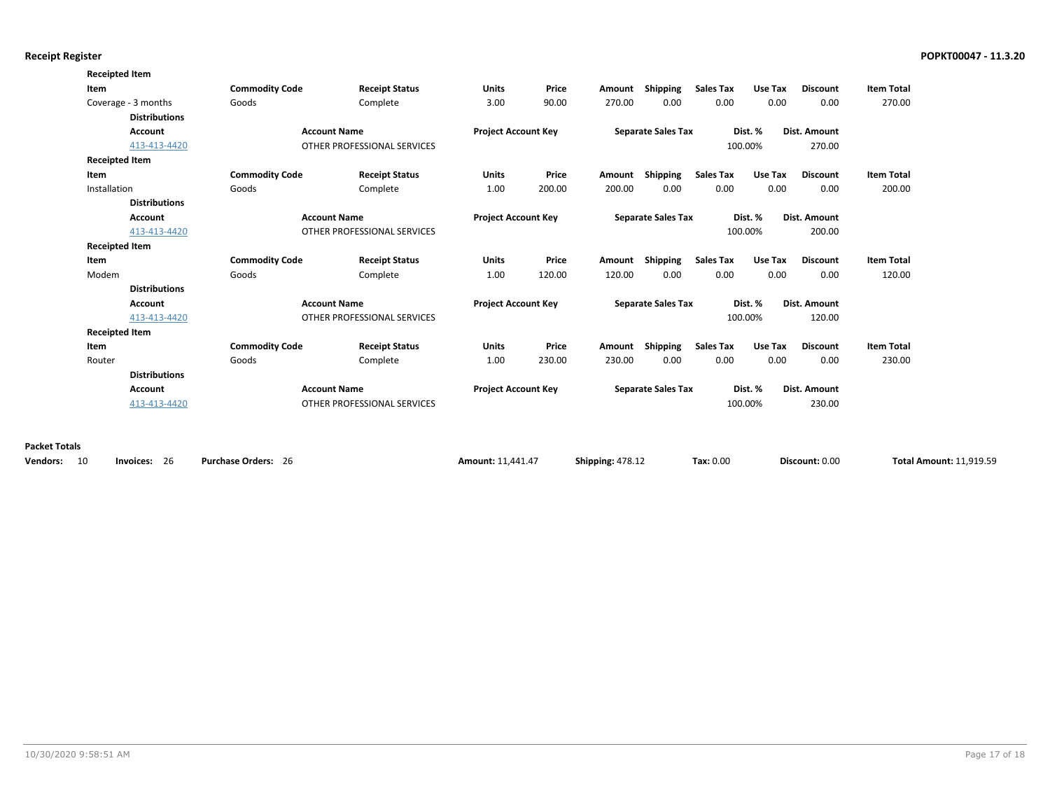| <b>Receipted Item</b> |                      |                             |                             |                            |                            |                           |                           |                                                             |                         |                     |                   |  |
|-----------------------|----------------------|-----------------------------|-----------------------------|----------------------------|----------------------------|---------------------------|---------------------------|-------------------------------------------------------------|-------------------------|---------------------|-------------------|--|
| Item                  |                      | <b>Commodity Code</b>       | <b>Receipt Status</b>       | <b>Units</b>               | Price                      | Amount                    | Shipping                  | <b>Sales Tax</b>                                            | Use Tax                 | <b>Discount</b>     | <b>Item Total</b> |  |
| Coverage - 3 months   |                      | Goods                       | Complete                    | 3.00                       | 90.00                      | 270.00                    | 0.00                      | 0.00                                                        | 0.00                    | 0.00                | 270.00            |  |
|                       | <b>Distributions</b> |                             |                             |                            |                            |                           |                           |                                                             |                         |                     |                   |  |
|                       | <b>Account</b>       |                             | <b>Account Name</b>         | <b>Project Account Key</b> |                            | <b>Separate Sales Tax</b> |                           |                                                             | Dist. %                 | <b>Dist. Amount</b> |                   |  |
|                       | 413-413-4420         | OTHER PROFESSIONAL SERVICES |                             |                            |                            |                           |                           |                                                             | 100.00%                 | 270.00              |                   |  |
| <b>Receipted Item</b> |                      |                             |                             |                            |                            |                           |                           |                                                             |                         |                     |                   |  |
| Item                  |                      | <b>Commodity Code</b>       | <b>Receipt Status</b>       | <b>Units</b>               | Price                      | Amount                    | <b>Shipping</b>           | <b>Sales Tax</b>                                            | Use Tax                 | <b>Discount</b>     | <b>Item Total</b> |  |
| Installation          |                      | Goods                       | Complete                    | 1.00                       | 200.00                     | 200.00                    | 0.00                      | 0.00                                                        | 0.00                    | 0.00                | 200.00            |  |
|                       | <b>Distributions</b> |                             |                             |                            |                            |                           |                           |                                                             |                         |                     |                   |  |
|                       | <b>Account</b>       | <b>Account Name</b>         |                             | <b>Project Account Key</b> |                            | <b>Separate Sales Tax</b> |                           |                                                             | Dist. %<br>Dist. Amount |                     |                   |  |
|                       | 413-413-4420         |                             | OTHER PROFESSIONAL SERVICES |                            |                            |                           |                           |                                                             | 100.00%                 | 200.00              |                   |  |
| <b>Receipted Item</b> |                      |                             |                             |                            |                            |                           |                           |                                                             |                         |                     |                   |  |
| Item                  |                      | <b>Commodity Code</b>       | <b>Receipt Status</b>       | <b>Units</b>               | Price                      | Amount                    | Shipping                  | <b>Sales Tax</b>                                            | Use Tax                 | <b>Discount</b>     | <b>Item Total</b> |  |
| Modem                 |                      | Goods                       | Complete                    | 1.00                       | 120.00                     | 120.00                    | 0.00                      | 0.00                                                        | 0.00                    | 0.00                | 120.00            |  |
|                       | <b>Distributions</b> |                             |                             |                            |                            |                           |                           |                                                             |                         |                     |                   |  |
|                       | <b>Account</b>       |                             | <b>Account Name</b>         |                            | <b>Project Account Key</b> |                           |                           | <b>Separate Sales Tax</b><br>Dist. %<br><b>Dist. Amount</b> |                         |                     |                   |  |
|                       | 413-413-4420         |                             | OTHER PROFESSIONAL SERVICES |                            |                            |                           |                           |                                                             | 100.00%                 | 120.00              |                   |  |
| <b>Receipted Item</b> |                      |                             |                             |                            |                            |                           |                           |                                                             |                         |                     |                   |  |
| Item                  |                      | <b>Commodity Code</b>       | <b>Receipt Status</b>       | <b>Units</b>               | Price                      | Amount                    | <b>Shipping</b>           | <b>Sales Tax</b>                                            | Use Tax                 | <b>Discount</b>     | <b>Item Total</b> |  |
| Router                |                      | Goods                       | Complete                    | 1.00                       | 230.00                     | 230.00                    | 0.00                      | 0.00                                                        | 0.00                    | 0.00                | 230.00            |  |
|                       | <b>Distributions</b> |                             |                             |                            |                            |                           |                           |                                                             |                         |                     |                   |  |
|                       | <b>Account</b>       |                             | <b>Account Name</b>         | <b>Project Account Key</b> |                            |                           | <b>Separate Sales Tax</b> |                                                             | Dist. %                 | Dist. Amount        |                   |  |
|                       |                      |                             | OTHER PROFESSIONAL SERVICES |                            |                            |                           |                           |                                                             | 100.00%                 | 230.00              |                   |  |

| <b>Vendors:</b><br>10 | -26<br>Invoices: | <b>Purchase Orders:</b><br>- 26 | Amount: 11,441.47 | <b>Shipping: 478.12</b> | Tax: 0.00 | Discount: 0.00 | <b>Total Amount: 11,919.59</b> |
|-----------------------|------------------|---------------------------------|-------------------|-------------------------|-----------|----------------|--------------------------------|